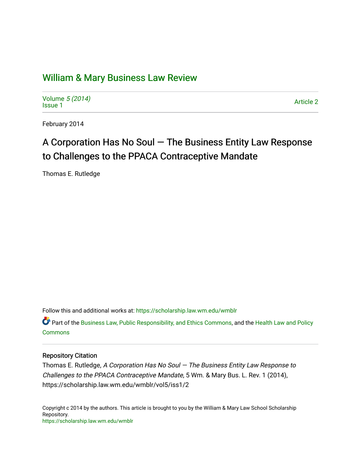# [William & Mary Business Law Review](https://scholarship.law.wm.edu/wmblr)

Volume [5 \(2014\)](https://scholarship.law.wm.edu/wmblr/vol5) volume 5 (2014)<br>[Issue 1](https://scholarship.law.wm.edu/wmblr/vol5/iss1) Article 2

February 2014

# A Corporation Has No Soul — The Business Entity Law Response to Challenges to the PPACA Contraceptive Mandate

Thomas E. Rutledge

Follow this and additional works at: [https://scholarship.law.wm.edu/wmblr](https://scholarship.law.wm.edu/wmblr?utm_source=scholarship.law.wm.edu%2Fwmblr%2Fvol5%2Fiss1%2F2&utm_medium=PDF&utm_campaign=PDFCoverPages) 

Part of the [Business Law, Public Responsibility, and Ethics Commons](http://network.bepress.com/hgg/discipline/628?utm_source=scholarship.law.wm.edu%2Fwmblr%2Fvol5%2Fiss1%2F2&utm_medium=PDF&utm_campaign=PDFCoverPages), and the [Health Law and Policy](http://network.bepress.com/hgg/discipline/901?utm_source=scholarship.law.wm.edu%2Fwmblr%2Fvol5%2Fiss1%2F2&utm_medium=PDF&utm_campaign=PDFCoverPages) [Commons](http://network.bepress.com/hgg/discipline/901?utm_source=scholarship.law.wm.edu%2Fwmblr%2Fvol5%2Fiss1%2F2&utm_medium=PDF&utm_campaign=PDFCoverPages)

## Repository Citation

Thomas E. Rutledge, A Corporation Has No Soul  $-$  The Business Entity Law Response to Challenges to the PPACA Contraceptive Mandate, 5 Wm. & Mary Bus. L. Rev. 1 (2014), https://scholarship.law.wm.edu/wmblr/vol5/iss1/2

Copyright c 2014 by the authors. This article is brought to you by the William & Mary Law School Scholarship Repository. <https://scholarship.law.wm.edu/wmblr>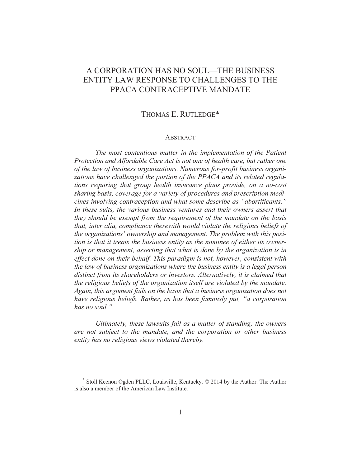# A CORPORATION HAS NO SOUL—THE BUSINESS ENTITY LAW RESPONSE TO CHALLENGES TO THE PPACA CONTRACEPTIVE MANDATE

# THOMAS E. RUTLEDGE\*

#### **ABSTRACT**

*The most contentious matter in the implementation of the Patient Protection and Affordable Care Act is not one of health care, but rather one of the law of business organizations. Numerous for-profit business organizations have challenged the portion of the PPACA and its related regulations requiring that group health insurance plans provide, on a no-cost sharing basis, coverage for a variety of procedures and prescription medicines involving contraception and what some describe as "abortificants." In these suits, the various business ventures and their owners assert that they should be exempt from the requirement of the mandate on the basis that, inter alia, compliance therewith would violate the religious beliefs of the organizations' ownership and management. The problem with this position is that it treats the business entity as the nominee of either its ownership or management, asserting that what is done by the organization is in effect done on their behalf. This paradigm is not, however, consistent with the law of business organizations where the business entity is a legal person distinct from its shareholders or investors. Alternatively, it is claimed that the religious beliefs of the organization itself are violated by the mandate. Again, this argument fails on the basis that a business organization does not have religious beliefs. Rather, as has been famously put, "a corporation has no soul."* 

*Ultimately, these lawsuits fail as a matter of standing; the owners are not subject to the mandate, and the corporation or other business entity has no religious views violated thereby.* 

 <sup>\*</sup> Stoll Keenon Ogden PLLC, Louisville, Kentucky. © 2014 by the Author. The Author is also a member of the American Law Institute.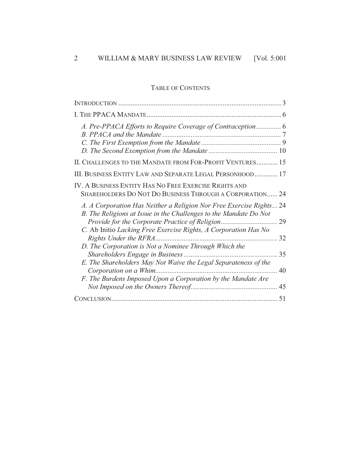# TABLE OF CONTENTS

| A. Pre-PPACA Efforts to Require Coverage of Contraception 6                                                                              |          |
|------------------------------------------------------------------------------------------------------------------------------------------|----------|
|                                                                                                                                          |          |
|                                                                                                                                          |          |
| II. CHALLENGES TO THE MANDATE FROM FOR-PROFIT VENTURES 15                                                                                |          |
| III. BUSINESS ENTITY LAW AND SEPARATE LEGAL PERSONHOOD 17                                                                                |          |
| IV. A BUSINESS ENTITY HAS NO FREE EXERCISE RIGHTS AND<br>SHAREHOLDERS DO NOT DO BUSINESS THROUGH A CORPORATION 24                        |          |
| A. A Corporation Has Neither a Religion Nor Free Exercise Rights 24<br>B. The Religions at Issue in the Challenges to the Mandate Do Not |          |
| C. Ab Initio Lacking Free Exercise Rights, A Corporation Has No                                                                          | 29<br>32 |
| D. The Corporation is Not a Nominee Through Which the                                                                                    | 35       |
| E. The Shareholders May Not Waive the Legal Separateness of the                                                                          | 40       |
| F. The Burdens Imposed Upon a Corporation by the Mandate Are                                                                             |          |
|                                                                                                                                          | 51       |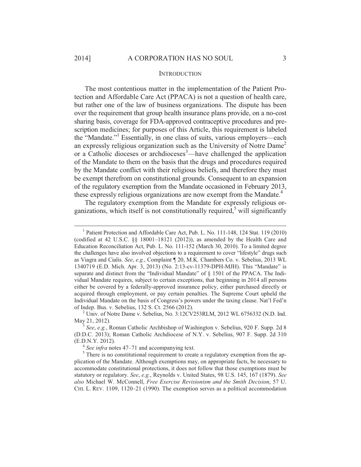#### **INTRODUCTION**

The most contentious matter in the implementation of the Patient Protection and Affordable Care Act (PPACA) is not a question of health care, but rather one of the law of business organizations. The dispute has been over the requirement that group health insurance plans provide, on a no-cost sharing basis, coverage for FDA-approved contraceptive procedures and prescription medicines; for purposes of this Article, this requirement is labeled the "Mandate."<sup>1</sup> Essentially, in one class of suits, various employers—each an expressly religious organization such as the University of Notre Dame<sup>2</sup> or a Catholic dioceses or archdioceses<sup>3</sup>—have challenged the application of the Mandate to them on the basis that the drugs and procedures required by the Mandate conflict with their religious beliefs, and therefore they must be exempt therefrom on constitutional grounds. Consequent to an expansion of the regulatory exemption from the Mandate occasioned in February 2013, these expressly religious organizations are now exempt from the Mandate.<sup>4</sup>

The regulatory exemption from the Mandate for expressly religious organizations, which itself is not constitutionally required,<sup>5</sup> will significantly

 <sup>1</sup> <sup>1</sup> Patient Protection and Affordable Care Act, Pub. L. No. 111-148, 124 Stat. 119 (2010) (codified at 42 U.S.C. §§ 18001–18121 (2012)), as amended by the Health Care and Education Reconciliation Act, Pub. L. No. 111-152 (March 30, 2010). To a limited degree the challenges have also involved objections to a requirement to cover "lifestyle" drugs such as Viagra and Cialis. *See*, *e.g.*, Complaint ¶ 20, M.K. Chambers Co. v. Sebelius, 2013 WL 1340719 (E.D. Mich. Apr. 3, 2013) (No. 2:13-cv-11379-DPH-MJH). This "Mandate" is separate and distinct from the "Individual Mandate" of § 1501 of the PPACA. The Individual Mandate requires, subject to certain exceptions, that beginning in 2014 all persons either be covered by a federally-approved insurance policy, either purchased directly or acquired through employment, or pay certain penalties. The Supreme Court upheld the Individual Mandate on the basis of Congress's powers under the taxing clause. Nat'l Fed'n of Indep. Bus. v. Sebelius, 132 S. Ct. 2566 (2012). 2

 $^{2}$  Univ. of Notre Dame v. Sebelius, No. 3:12CV253RLM, 2012 WL 6756332 (N.D. Ind. May 21, 2012).

See, e.g., Roman Catholic Archbishop of Washington v. Sebelius, 920 F. Supp. 2d 8 (D.D.C. 2013); Roman Catholic Archdiocese of N.Y. v. Sebelius, 907 F. Supp. 2d 310

<sup>(</sup>E.D.N.Y. 2012).<br><sup>4</sup> *See infra* notes 47–71 and accompanying text.<br><sup>5</sup> There is no constitutional requirement to create a regulatory exemption from the application of the Mandate. Although exemptions may, on appropriate facts, be necessary to accommodate constitutional protections, it does not follow that those exemptions must be statutory or regulatory. *See*, *e.g.*, Reynolds v. United States, 98 U.S. 145, 167 (1879). *See also* Michael W. McConnell, *Free Exercise Revisionism and the Smith Decision*, 57 U. CHI. L. REV. 1109, 1120–21 (1990). The exemption serves as a political accommodation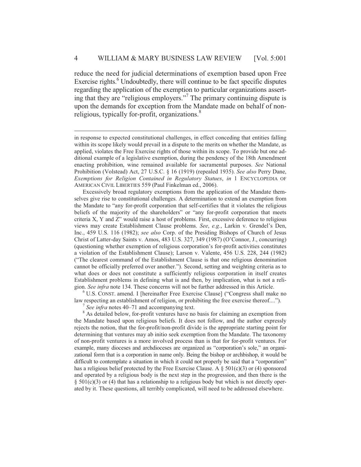reduce the need for judicial determinations of exemption based upon Free Exercise rights.<sup>6</sup> Undoubtedly, there will continue to be fact specific disputes regarding the application of the exemption to particular organizations asserting that they are "religious employers."7 The primary continuing dispute is upon the demands for exception from the Mandate made on behalf of nonreligious, typically for-profit, organizations.<sup>8</sup>

Excessively broad regulatory exemptions from the application of the Mandate themselves give rise to constitutional challenges. A determination to extend an exemption from the Mandate to "any for-profit corporation that self-certifies that it violates the religious beliefs of the majority of the shareholders" or "any for-profit corporation that meets criteria X, Y and Z" would raise a host of problems. First, excessive deference to religious views may create Establishment Clause problems. *See*, *e.g.*, Larkin v. Grendel's Den, Inc., 459 U.S. 116 (1982); *see also* Corp. of the Presiding Bishops of Church of Jesus Christ of Latter-day Saints v. Amos, 483 U.S. 327, 349 (1987) (O'Connor, J., concurring) (questioning whether exemption of religious corporation's for-profit activities constitutes a violation of the Establishment Clause); Larson v. Valente, 456 U.S. 228, 244 (1982) ("The clearest command of the Establishment Clause is that one religious denomination cannot be officially preferred over another."). Second, setting and weighting criteria as to what does or does not constitute a sufficiently religious corporation in itself creates Establishment problems in defining what is and then, by implication, what is not a religion. *See infra* note 134. These concerns will not be further addressed in this Article. 6

 U.S. CONST. amend. I [hereinafter Free Exercise Clause] ("Congress shall make no law respecting an establishment of religion, or prohibiting the free exercise thereof....").<br><sup>7</sup> *See infra* notes 40–71 and accompanying text.

<sup>8</sup> As detailed below, for-profit ventures have no basis for claiming an exemption from the Mandate based upon religious beliefs. It does not follow, and the author expressly rejects the notion, that the for-profit/non-profit divide is the appropriate starting point for determining that ventures may ab initio seek exemption from the Mandate. The taxonomy of non-profit ventures is a more involved process than is that for for-profit ventures. For example, many dioceses and archdioceses are organized as "corporation's sole," an organizational form that is a corporation in name only. Being the bishop or archbishop, it would be difficult to contemplate a situation in which it could not properly be said that a "corporation" has a religious belief protected by the Free Exercise Clause. A  $\S$  501(c)(3) or (4) sponsored and operated by a religious body is the next step in the progression, and then there is the  $\S$  501(c)(3) or (4) that has a relationship to a religious body but which is not directly operated by it. These questions, all terribly complicated, will need to be addressed elsewhere.

 $\overline{a}$ 

in response to expected constitutional challenges, in effect conceding that entities falling within its scope likely would prevail in a dispute to the merits on whether the Mandate, as applied, violates the Free Exercise rights of those within its scope. To provide but one additional example of a legislative exemption, during the pendency of the 18th Amendment enacting prohibition, wine remained available for sacramental purposes. *See* National Prohibition (Volstead) Act, 27 U.S.C. § 16 (1919) (repealed 1935). *See also* Perry Dane, *Exemptions for Religion Contained in Regulatory Statues*, *in* 1 ENCYCLOPEDIA OF AMERICAN CIVIL LIBERTIES 559 (Paul Finkelman ed., 2006).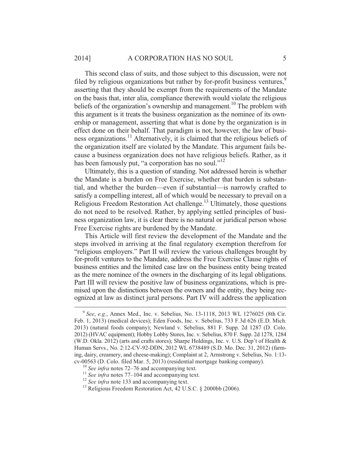This second class of suits, and those subject to this discussion, were not filed by religious organizations but rather by for-profit business ventures,<sup>9</sup> asserting that they should be exempt from the requirements of the Mandate on the basis that, inter alia, compliance therewith would violate the religious beliefs of the organization's ownership and management.<sup>10</sup> The problem with this argument is it treats the business organization as the nominee of its ownership or management, asserting that what is done by the organization is in effect done on their behalf. That paradigm is not, however, the law of business organizations.11 Alternatively, it is claimed that the religious beliefs of the organization itself are violated by the Mandate. This argument fails because a business organization does not have religious beliefs. Rather, as it has been famously put, "a corporation has no soul."<sup>12</sup>

Ultimately, this is a question of standing. Not addressed herein is whether the Mandate is a burden on Free Exercise, whether that burden is substantial, and whether the burden—even if substantial—is narrowly crafted to satisfy a compelling interest, all of which would be necessary to prevail on a Religious Freedom Restoration Act challenge.<sup>13</sup> Ultimately, those questions do not need to be resolved. Rather, by applying settled principles of business organization law, it is clear there is no natural or juridical person whose Free Exercise rights are burdened by the Mandate.

This Article will first review the development of the Mandate and the steps involved in arriving at the final regulatory exemption therefrom for "religious employers." Part II will review the various challenges brought by for-profit ventures to the Mandate, address the Free Exercise Clause rights of business entities and the limited case law on the business entity being treated as the mere nominee of the owners in the discharging of its legal obligations. Part III will review the positive law of business organizations, which is premised upon the distinctions between the owners and the entity, they being recognized at law as distinct jural persons. Part IV will address the application

 <sup>9</sup> *See*, *e.g.*, Annex Med., Inc. v. Sebelius, No. 13-1118, 2013 WL 1276025 (8th Cir. Feb. 1, 2013) (medical devices); Eden Foods, Inc. v. Sebelius, 733 F.3d 626 (E.D. Mich. 2013) (natural foods company); Newland v. Sebelius, 881 F. Supp. 2d 1287 (D. Colo. 2012) (HVAC equipment); Hobby Lobby Stores, Inc. v. Sebelius, 870 F. Supp. 2d 1278, 1284 (W.D. Okla. 2012) (arts and crafts stores); Sharpe Holdings, Inc. v. U.S. Dep't of Health & Human Servs., No. 2:12-CV-92-DDN, 2012 WL 6738489 (S.D. Mo. Dec. 31, 2012) (farming, dairy, creamery, and cheese-making); Complaint at 2, Armstrong v. Sebelius, No. 1:13 cv-00563 (D. Colo. filed Mar. 5, 2013) (residential mortgage banking company).<br>
<sup>10</sup> See infra notes 72–76 and accompanying text.<br>
<sup>11</sup> See infra notes 77–104 and accompanying text.<br>
<sup>12</sup> See infra note 133 and accompanyi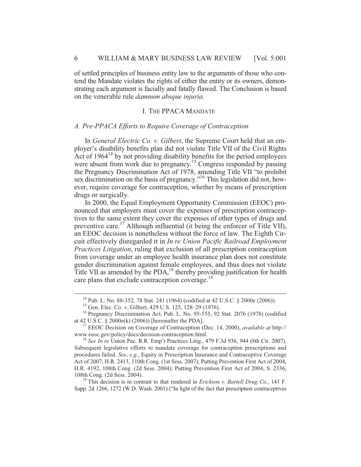of settled principles of business entity law to the arguments of those who contend the Mandate violates the rights of either the entity or its owners, demonstrating each argument is facially and fatally flawed. The Conclusion is based on the venerable rule *damnum absque injuria*.

## I. THE PPACA MANDATE

#### *A. Pre-PPACA Efforts to Require Coverage of Contraception*

In *General Electric Co. v. Gilbert*, the Supreme Court held that an employer's disability benefits plan did not violate Title VII of the Civil Rights Act of  $1964<sup>14</sup>$  by not providing disability benefits for the period employees were absent from work due to pregnancy.<sup>15</sup> Congress responded by passing the Pregnancy Discrimination Act of 1978, amending Title VII "to prohibit sex discrimination on the basis of pregnancy."<sup>16</sup> This legislation did not, however, require coverage for contraception, whether by means of prescription drugs or surgically.

In 2000, the Equal Employment Opportunity Commission (EEOC) pronounced that employers must cover the expenses of prescription contraceptives to the same extent they cover the expenses of other types of drugs and preventive care.<sup>17</sup> Although influential (it being the enforcer of Title VII), an EEOC decision is nonetheless without the force of law. The Eighth Circuit effectively disregarded it in *In re Union Pacific Railroad Employment Practices Litigation*, ruling that exclusion of all prescription contraception from coverage under an employee health insurance plan does not constitute gender discrimination against female employees, and thus does not violate Title VII as amended by the PDA,<sup>18</sup> thereby providing justification for health care plans that exclude contraception coverage.<sup>19</sup>

Supp. 2d 1266, 1272 (W.D. Wash. 2001) ("In light of the fact that prescription contraceptives

<sup>&</sup>lt;sup>14</sup> Pub. L. No. 88-352, 78 Stat. 241 (1964) (codified at 42 U.S.C. § 2000e (2006)).

<sup>15</sup> Gen. Elec. Co. v. Gilbert, 429 U.S. 125, 128–29 (1976).

<sup>&</sup>lt;sup>16</sup> Pregnancy Discrimination Act, Pub. L. No. 95-555, 92 Stat. 2076 (1978) (codified at 42 U.S.C. § 2000e(k) (2006)) [hereinafter the PDA]. 17 EEOC Decision on Coverage of Contraception (Dec. 14, 2000), *available at* http://

www.eeoc.gov/policy/docs/decision-contraception.html. 18 *See In re* Union Pac. R.R. Emp't Practices Litig., 479 F.3d 936, 944 (8th Cir. 2007).

Subsequent legislative efforts to mandate coverage for contraception prescriptions and procedures failed. *See*, *e.g.*, Equity in Prescription Insurance and Contraceptive Coverage Act of 2007, H.R. 2413, 110th Cong. (1st Sess. 2007); Putting Prevention First Act of 2004, H.R. 4192, 108th Cong. (2d Sess. 2004); Putting Prevention First Act of 2004, S. 2336, 108th Cong. (2d Sess. 2004). 19 This decision is in contrast to that rendered in *Erickson v. Bartell Drug Co*., 141 F.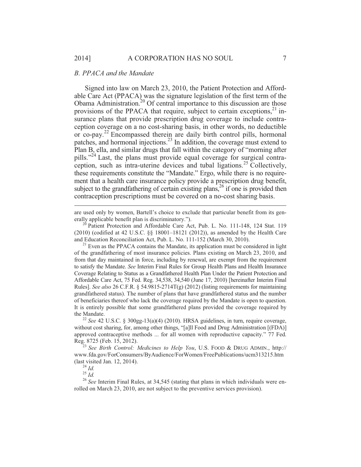#### *B. PPACA and the Mandate*

Signed into law on March 23, 2010, the Patient Protection and Affordable Care Act (PPACA) was the signature legislation of the first term of the Obama Administration.<sup>20</sup> Of central importance to this discussion are those provisions of the PPACA that require, subject to certain exceptions, $^{21}$  insurance plans that provide prescription drug coverage to include contraception coverage on a no cost-sharing basis, in other words, no deductible or co-pay.22 Encompassed therein are daily birth control pills, hormonal patches, and hormonal injections.23 In addition, the coverage must extend to Plan B, ella, and similar drugs that fall within the category of "morning after pills."24 Last, the plans must provide equal coverage for surgical contraception, such as intra-uterine devices and tubal ligations.<sup>25</sup> Collectively, these requirements constitute the "Mandate." Ergo, while there is no requirement that a health care insurance policy provide a prescription drug benefit, subject to the grandfathering of certain existing plans, $2<sup>6</sup>$  if one is provided then contraception prescriptions must be covered on a no-cost sharing basis.

are used only by women, Bartell's choice to exclude that particular benefit from its generally applicable benefit plan is discriminatory.").<br><sup>20</sup> Patient Protection and Affordable Care Act, Pub. L. No. 111-148, 124 Stat. 119

(2010) (codified at 42 U.S.C. §§ 18001–18121 (2012)), as amended by the Health Care and Education Reconciliation Act, Pub. L. No. 111-152 (March 30, 2010).<br><sup>21</sup> Even as the PPACA contains the Mandate, its application must be considered in light

of the grandfathering of most insurance policies. Plans existing on March 23, 2010, and from that day maintained in force, including by renewal, are exempt from the requirement to satisfy the Mandate. *See* Interim Final Rules for Group Health Plans and Health Insurance Coverage Relating to Status as a Grandfathered Health Plan Under the Patient Protection and Affordable Care Act, 75 Fed. Reg. 34,538, 34,540 (June 17, 2010) [hereinafter Interim Final Rules]. *See also* 26 C.F.R. § 54.9815-2714T(g) (2012) (listing requirements for maintaining grandfathered status). The number of plans that have grandfathered status and the number of beneficiaries thereof who lack the coverage required by the Mandate is open to question. It is entirely possible that some grandfathered plans provided the coverage required by

the Mandate.<br><sup>22</sup> *See* 42 U.S.C. § 300gg-13(a)(4) (2010). HRSA guidelines, in turn, require coverage, without cost sharing, for, among other things, "[a]ll Food and Drug Administration [(FDA)] approved contraceptive methods ... for all women with reproductive capacity." 77 Fed. Reg. 8725 (Feb. 15, 2012). 23 *See Birth Control: Medicines to Help You*, U.S. FOOD & DRUG ADMIN., http://

www.fda.gov/ForConsumers/ByAudience/ForWomen/FreePublications/ucm313215.htm

 $\overline{a}$ 

(last visited Jan. 12, 2014).<br><sup>24</sup> *Id.* <sup>25</sup> *Id.* <sup>26</sup> See Interim Final Rules, at 34,545 (stating that plans in which individuals were en-<br><sup>26</sup> See Interim Final Rules, at 34,545 (stating that plans in which individual rolled on March 23, 2010, are not subject to the preventive services provision).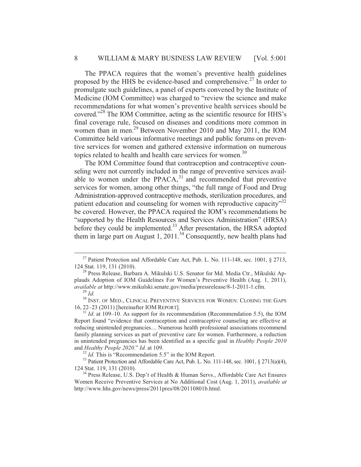The PPACA requires that the women's preventive health guidelines proposed by the HHS be evidence-based and comprehensive.<sup>27</sup> In order to promulgate such guidelines, a panel of experts convened by the Institute of Medicine (IOM Committee) was charged to "review the science and make recommendations for what women's preventive health services should be covered."28 The IOM Committee, acting as the scientific resource for HHS's final coverage rule, focused on diseases and conditions more common in women than in men.<sup>29</sup> Between November 2010 and May 2011, the IOM Committee held various informative meetings and public forums on preventive services for women and gathered extensive information on numerous topics related to health and health care services for women.<sup>30</sup>

The IOM Committee found that contraception and contraceptive counseling were not currently included in the range of preventive services available to women under the PPACA, $31$  and recommended that preventive services for women, among other things, "the full range of Food and Drug Administration-approved contraceptive methods, sterilization procedures, and patient education and counseling for women with reproductive capacity<sup>32</sup> be covered. However, the PPACA required the IOM's recommendations be "supported by the Health Resources and Services Administration" (HRSA) before they could be implemented.<sup>33</sup> After presentation, the HRSA adopted them in large part on August 1, 2011.<sup>34</sup> Consequently, new health plans had

<sup>&</sup>lt;sup>27</sup> Patient Protection and Affordable Care Act, Pub. L. No. 111-148, sec. 1001, § 2713, 124 Stat. 119, 131 (2010).

<sup>&</sup>lt;sup>28</sup> Press Release, Barbara A. Mikulski U.S. Senator for Md. Media Ctr., Mikulski Applauds Adoption of IOM Guidelines For Women's Preventive Health (Aug. 1, 2011), *available at* http://www.mikulski.senate.gov/media/pressrelease/8-1-2011-1.cfm.<br><sup>29</sup> *Id.* 30 INST. OF MED., CLINICAL PREVENTIVE SERVICES FOR WOMEN: CLOSING THE GAPS

<sup>16,</sup> 22–23 (2011) [hereinafter IOM REPORT]. 31 *Id.* at 109–10. As support for its recommendation (Recommendation 5.5), the IOM

Report found "evidence that contraception and contraceptive counseling are effective at reducing unintended pregnancies.... Numerous health professional associations recommend family planning services as part of preventive care for women. Furthermore, a reduction in unintended pregnancies has been identified as a specific goal in *Healthy People 2010*  and *Healthy People 2020." Id.* at 109.<br><sup>32</sup> *Id.* This is "Recommendation 5.5" in the IOM Report.<br><sup>33</sup> Patient Protection and Affordable Care Act, Pub. L. No. 111-148, sec. 1001, § 2713(a)(4),

<sup>124</sup> Stat. 119, 131 (2010). 34 Press Release, U.S. Dep't of Health & Human Servs., Affordable Care Act Ensures

Women Receive Preventive Services at No Additional Cost (Aug. 1, 2011), *available at*  http://www.hhs.gov/news/press/2011pres/08/20110801b.html.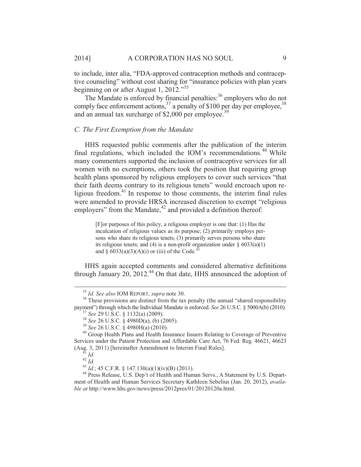to include, inter alia, "FDA-approved contraception methods and contraceptive counseling" without cost sharing for "insurance policies with plan years beginning on or after August 1, 2012."<sup>35</sup>

The Mandate is enforced by financial penalties:<sup>36</sup> employers who do not comply face enforcement actions,  $3^7$  a penalty of \$100 per day per employee,  $3^8$ and an annual tax surcharge of  $$2,000$  per employee.<sup>39</sup>

#### *C. The First Exemption from the Mandate*

HHS requested public comments after the publication of the interim final regulations, which included the IOM's recommendations.<sup>40</sup> While many commenters supported the inclusion of contraceptive services for all women with no exemptions, others took the position that requiring group health plans sponsored by religious employers to cover such services "that their faith deems contrary to its religious tenets" would encroach upon religious freedom. $41$  In response to those comments, the interim final rules were amended to provide HRSA increased discretion to exempt "religious employers" from the Mandate, $42$  and provided a definition thereof:

> [F]or purposes of this policy, a religious employer is one that: (1) Has the inculcation of religious values as its purpose; (2) primarily employs persons who share its religious tenets; (3) primarily serves persons who share its religious tenets; and (4) is a non-profit organization under  $\S$  6033(a)(1) and §  $6033(a)(3)(A)(i)$  or (iii) of the Code.<sup>43</sup>

HHS again accepted comments and considered alternative definitions through January  $20$ ,  $2012<sup>44</sup>$  On that date, HHS announced the adoption of

<sup>&</sup>lt;sup>35</sup> *Id. See also* IOM REPORT, *supra* note 30.<br><sup>36</sup> These provisions are distinct from the tax penalty (the annual "shared responsibility payment") through which the Individual Mandate is enforced. *See* 26 U.S.C. § 5000

<sup>&</sup>lt;sup>37</sup> See 29 U.S.C. § 1132(a) (2009).<br><sup>38</sup> See 26 U.S.C. § 4980D(a), (b) (2005).<br><sup>39</sup> See 26 U.S.C. § 4980H(a) (2010).<br><sup>40</sup> Group Health Plans and Health Insurance Issuers Relating to Coverage of Preventive Services under the Patient Protection and Affordable Care Act, 76 Fed. Reg. 46621, 46623 (Aug. 3, 2011) [hereinafter Amendment to Interim Final Rules].

<sup>&</sup>lt;sup>41</sup> *Id.*<br><sup>42</sup> *Id.*<br><sup>43</sup> *Id.*; 45 C.F.R. § 147.130(a)(1)(iv)(B) (2011).<br><sup>44</sup> Press Release, U.S. Dep't of Health and Human Servs., A Statement by U.S. Department of Health and Human Services Secretary Kathleen Sebelius (Jan. 20, 2012), *available at* http://www.hhs.gov/news/press/2012pres/01/20120120a.html.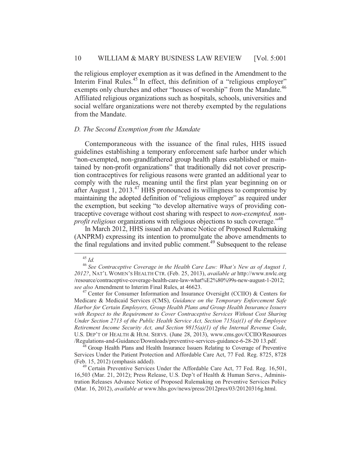the religious employer exemption as it was defined in the Amendment to the Interim Final Rules.<sup>45</sup> In effect, this definition of a "religious employer" exempts only churches and other "houses of worship" from the Mandate.<sup>46</sup> Affiliated religious organizations such as hospitals, schools, universities and social welfare organizations were not thereby exempted by the regulations from the Mandate.

#### *D. The Second Exemption from the Mandate*

Contemporaneous with the issuance of the final rules, HHS issued guidelines establishing a temporary enforcement safe harbor under which "non-exempted, non-grandfathered group health plans established or maintained by non-profit organizations" that traditionally did not cover prescription contraceptives for religious reasons were granted an additional year to comply with the rules, meaning until the first plan year beginning on or after August 1, 2013. $47$  HHS pronounced its willingness to compromise by maintaining the adopted definition of "religious employer" as required under the exemption, but seeking "to develop alternative ways of providing contraceptive coverage without cost sharing with respect to *non-exempted, nonprofit religious* organizations with religious objections to such coverage."<sup>48</sup>

In March 2012, HHS issued an Advance Notice of Proposed Rulemaking (ANPRM) expressing its intention to promulgate the above amendments to the final regulations and invited public comment.<sup>49</sup> Subsequent to the release

Services Under the Patient Protection and Affordable Care Act, 77 Fed. Reg. 8725, 8728

<sup>49</sup> Certain Preventive Services Under the Affordable Care Act, 77 Fed. Reg. 16,501, 16,503 (Mar. 21, 2012); Press Release, U.S. Dep't of Health & Human Servs., Administration Releases Advance Notice of Proposed Rulemaking on Preventive Services Policy (Mar. 16, 2012), *available at* www.hhs.gov/news/press/2012pres/03/20120316g.html.

<sup>&</sup>lt;sup>45</sup> *Id. At At At At At At At Coverage in the Health Care Law: What's New as of August 1,*  $\frac{1}{2}$ *2012?*, NAT'L WOMEN'S HEALTH CTR. (Feb. 25, 2013), *available at* http://www.nwlc.org /resource/contraceptive-coverage-health-care-law-what%E2%80%99s-new-august-1-2012;

<sup>&</sup>lt;sup>47</sup> Center for Consumer Information and Insurance Oversight (CCIIO) & Centers for Medicare & Medicaid Services (CMS), *Guidance on the Temporary Enforcement Safe Harbor for Certain Employers, Group Health Plans and Group Health Insurance Issuers with Respect to the Requirement to Cover Contraceptive Services Without Cost Sharing Under Section 2713 of the Public Health Service Act, Section 715(a)(1) of the Employee Retirement Income Security Act, and Section 9815(a)(1) of the Internal Revenue Code*, U.S. DEP'T OF HEALTH & HUM. SERVS. (June 28, 2013), www.cms.gov/CCIIO/Resources /Regulations-and-Guidance/Downloads/preventive-services-guidance-6-28-20 13.pdf. 48 Group Health Plans and Health Insurance Issuers Relating to Coverage of Preventive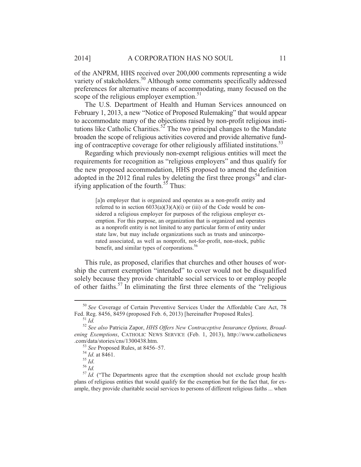of the ANPRM, HHS received over 200,000 comments representing a wide variety of stakeholders.<sup>50</sup> Although some comments specifically addressed preferences for alternative means of accommodating, many focused on the scope of the religious employer exemption.<sup>51</sup>

The U.S. Department of Health and Human Services announced on February 1, 2013, a new "Notice of Proposed Rulemaking" that would appear to accommodate many of the objections raised by non-profit religious institutions like Catholic Charities.<sup>52</sup> The two principal changes to the Mandate broaden the scope of religious activities covered and provide alternative funding of contraceptive coverage for other religiously affiliated institutions.<sup>53</sup>

Regarding which previously non-exempt religious entities will meet the requirements for recognition as "religious employers" and thus qualify for the new proposed accommodation, HHS proposed to amend the definition adopted in the 2012 final rules by deleting the first three prongs<sup>54</sup> and clarifying application of the fourth.<sup>55</sup> Thus:

> [a]n employer that is organized and operates as a non-profit entity and referred to in section  $6033(a)(3)(A)(i)$  or (iii) of the Code would be considered a religious employer for purposes of the religious employer exemption. For this purpose, an organization that is organized and operates as a nonprofit entity is not limited to any particular form of entity under state law, but may include organizations such as trusts and unincorporated associated, as well as nonprofit, not-for-profit, non-stock, public benefit, and similar types of corporations.<sup>56</sup>

This rule, as proposed, clarifies that churches and other houses of worship the current exemption "intended" to cover would not be disqualified solely because they provide charitable social services to or employ people of other faiths.57 In eliminating the first three elements of the "religious

<sup>&</sup>lt;sup>50</sup> *See* Coverage of Certain Preventive Services Under the Affordable Care Act, 78 Fed. Reg. 8456, 8459 (proposed Feb. 6, 2013) [hereinafter Proposed Rules].

<sup>&</sup>lt;sup>51</sup> Id.<br><sup>52</sup> See also Patricia Zapor, *HHS Offers New Contraceptive Insurance Options, Broadening Exemptions*, CATHOLIC NEWS SERVICE (Feb. 1, 2013), http://www.catholicnews .com/data/stories/cns/1300438.htm.<br><sup>53</sup> *See* Proposed Rules, at 8456–57.<br><sup>54</sup> *Id.* at 8461.<br><sup>55</sup> *Id.* ("The Departments agree that the exemption should not exclude group health<br><sup>57</sup> *Id.* ("The Departments agree that th

plans of religious entities that would qualify for the exemption but for the fact that, for example, they provide charitable social services to persons of different religious faiths ... when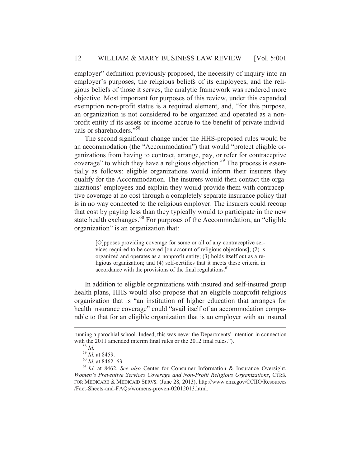employer" definition previously proposed, the necessity of inquiry into an employer's purposes, the religious beliefs of its employees, and the religious beliefs of those it serves, the analytic framework was rendered more objective. Most important for purposes of this review, under this expanded exemption non-profit status is a required element, and, "for this purpose, an organization is not considered to be organized and operated as a nonprofit entity if its assets or income accrue to the benefit of private individuals or shareholders."<sup>58</sup>

The second significant change under the HHS-proposed rules would be an accommodation (the "Accommodation") that would "protect eligible organizations from having to contract, arrange, pay, or refer for contraceptive coverage" to which they have a religious objection.<sup>59</sup> The process is essentially as follows: eligible organizations would inform their insurers they qualify for the Accommodation. The insurers would then contact the organizations' employees and explain they would provide them with contraceptive coverage at no cost through a completely separate insurance policy that is in no way connected to the religious employer. The insurers could recoup that cost by paying less than they typically would to participate in the new state health exchanges.<sup>60</sup> For purposes of the Accommodation, an "eligible organization" is an organization that:

> [O]pposes providing coverage for some or all of any contraceptive services required to be covered [on account of religious objections]; (2) is organized and operates as a nonprofit entity; (3) holds itself out as a religious organization; and (4) self-certifies that it meets these criteria in accordance with the provisions of the final regulations. $61$

In addition to eligible organizations with insured and self-insured group health plans, HHS would also propose that an eligible nonprofit religious organization that is "an institution of higher education that arranges for health insurance coverage" could "avail itself of an accommodation comparable to that for an eligible organization that is an employer with an insured

 $\overline{a}$ 

running a parochial school. Indeed, this was never the Departments' intention in connection with the 2011 amended interim final rules or the 2012 final rules.").<br>
<sup>58</sup> *Id.*<br>
<sup>59</sup> *Id.* at 8459.<br>
<sup>60</sup> *Id.* at 8462–63.<br>
<sup>61</sup> *Id.* at 8462. *See also* Center for Consumer Information & Insurance Oversight,

*Women's Preventive Services Coverage and Non-Profit Religious Organizations*, CTRS. FOR MEDICARE & MEDICAID SERVS. (June 28, 2013), http://www.cms.gov/CCIIO/Resources /Fact-Sheets-and-FAQs/womens-preven-02012013.html.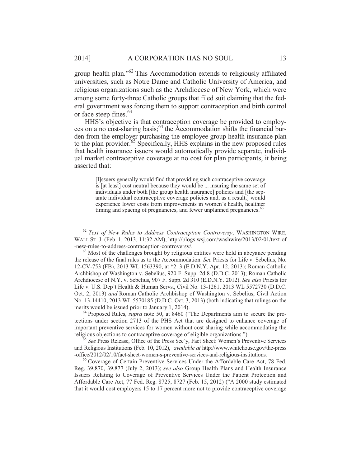group health plan."62 This Accommodation extends to religiously affiliated universities, such as Notre Dame and Catholic University of America, and religious organizations such as the Archdiocese of New York, which were among some forty-three Catholic groups that filed suit claiming that the federal government was forcing them to support contraception and birth control or face steep fines.<sup>63</sup>

HHS's objective is that contraception coverage be provided to employees on a no cost-sharing basis;  $64$  the Accommodation shifts the financial burden from the employer purchasing the employee group health insurance plan to the plan provider.<sup>65</sup> Specifically, HHS explains in the new proposed rules that health insurance issuers would automatically provide separate, individual market contraceptive coverage at no cost for plan participants, it being asserted that:

[I]ssuers generally would find that providing such contraceptive coverage is [at least] cost neutral because they would be ... insuring the same set of individuals under both [the group health insurance] policies and [the separate individual contraceptive coverage policies and, as a result,] would experience lower costs from improvements in women's health, healthier timing and spacing of pregnancies, and fewer unplanned pregnancies.<sup>66</sup>

tections under section 2713 of the PHS Act that are designed to enhance coverage of important preventive services for women without cost sharing while accommodating the religious objections to contraceptive coverage of eligible organizations.").

<sup>5</sup> See Press Release, Office of the Press Sec'y, Fact Sheet: Women's Preventive Services and Religious Institutions (Feb. 10, 2012), *available at* http://www.whitehouse.gov/the-press

<sup>66</sup> Coverage of Certain Preventive-Services-Under the Affordable Care Act, 78 Fed. Reg. 39,870, 39,877 (July 2, 2013); *see also* Group Health Plans and Health Insurance Issuers Relating to Coverage of Preventive Services Under the Patient Protection and Affordable Care Act, 77 Fed. Reg. 8725, 8727 (Feb. 15, 2012) ("A 2000 study estimated that it would cost employers 15 to 17 percent more not to provide contraceptive coverage

 <sup>62</sup> *Text of New Rules to Address Contraception Controversy*, WASHINGTON WIRE, WALL ST. J. (Feb. 1, 2013, 11:32 AM), http://blogs.wsj.com/washwire/2013/02/01/text-of -new-rules-to-address-contraception-controversy/. 63 Most of the challenges brought by religious entities were held in abeyance pending

the release of the final rules as to the Accommodation. *See* Priests for Life v. Sebelius, No. 12-CV-753 (FB), 2013 WL 1563390, at \*2–3 (E.D.N.Y. Apr. 12, 2013); Roman Catholic Archbishop of Washington v. Sebelius, 920 F. Supp. 2d 8 (D.D.C. 2013); Roman Catholic Archdiocese of N.Y. v. Sebelius, 907 F. Supp. 2d 310 (E.D.N.Y. 2012). *See also* Priests for Life v. U.S. Dep't Health & Human Servs., Civil No. 13-1261, 2013 WL 5572730 (D.D.C. Oct. 2, 2013) *and* Roman Catholic Archbishop of Washington v. Sebelius, Civil Action No. 13-14410, 2013 WL 5570185 (D.D.C. Oct. 3, 2013) (both indicating that rulings on the merits would be issued prior to January 1, 2014).<br><sup>64</sup> Proposed Rules, *supra* note 50, at 8460 ("The Departments aim to secure the pro-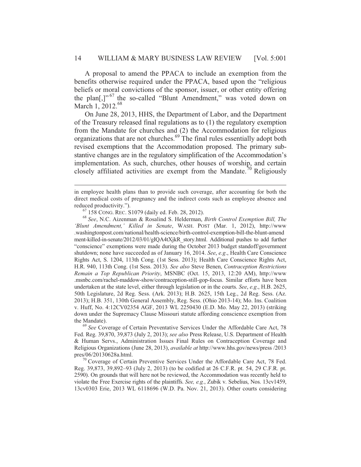A proposal to amend the PPACA to include an exemption from the benefits otherwise required under the PPACA, based upon the "religious beliefs or moral convictions of the sponsor, issuer, or other entity offering the plan[,]"<sup>67</sup> the so-called "Blunt Amendment," was voted down on March 1, 2012.<sup>68</sup>

On June 28, 2013, HHS, the Department of Labor, and the Department of the Treasury released final regulations as to (1) the regulatory exemption from the Mandate for churches and (2) the Accommodation for religious organizations that are not churches.<sup>69</sup> The final rules essentially adopt both revised exemptions that the Accommodation proposed. The primary substantive changes are in the regulatory simplification of the Accommodation's implementation. As such, churches, other houses of worship, and certain closely affiliated activities are exempt from the Mandate.<sup>70</sup> Religiously

 $\overline{a}$ 

the Mandate).<br><sup>69</sup> *See* Coverage of Certain Preventative Services Under the Affordable Care Act, 78 Fed. Reg. 39,870, 39,873 (July 2, 2013); *see also* Press Release, U.S. Department of Health & Human Servs., Administration Issues Final Rules on Contraception Coverage and Religious Organizations (June 28, 2013), *available at* http://www.hhs.gov/news/press /2013 pres/06/20130628a.html.<br><sup>70</sup> Coverage of Certain Preventive Services Under the Affordable Care Act, 78 Fed.

Reg. 39,873, 39,892–93 (July 2, 2013) (to be codified at 26 C.F.R. pt. 54, 29 C.F.R. pt. 2590). On grounds that will here not be reviewed, the Accommodation was recently held to violate the Free Exercise rights of the plaintiffs. *See, e.g.*, Zubik v. Sebelius, Nos. 13cv1459, 13cv0303 Erie, 2013 WL 6118696 (W.D. Pa. Nov. 21, 2013). Other courts considering

in employee health plans than to provide such coverage, after accounting for both the direct medical costs of pregnancy and the indirect costs such as employee absence and

reduced productivity."). 67 158 CONG. REC. S1079 (daily ed. Feb. 28, 2012). 68 *See*, N.C. Aizenman & Rosalind S. Helderman, *Birth Control Exemption Bill, The 'Blunt Amendment,' Killed in Senate*, WASH. POST (Mar. 1, 2012), http://www .washingtonpost.com/national/health-science/birth-control-exemption-bill-the-blunt-amend ment-killed-in-senate/2012/03/01/gIQA4tXjkR\_story.html. Additional pushes to add further "conscience" exemptions were made during the October 2013 budget standoff/government shutdown; none have succeeded as of January 16, 2014. *See*, *e.g*., Health Care Conscience Rights Act, S. 1204, 113th Cong. (1st Sess. 2013); Health Care Conscience Rights Act, H.R. 940, 113th Cong. (1st Sess. 2013). *See also* Steve Benen, *Contraception Restrictions Remain a Top Republican Priority*, MSNBC (Oct. 15, 2013, 12:20 AM), http://www .msnbc.com/rachel-maddow-show/contraception-still-gop-focus. Similar efforts have been undertaken at the state level, either through legislation or in the courts. *See*, *e.g*., H.B. 2625, 50th Legislature, 2d Reg. Sess. (Ark. 2013); H.B. 2625, 15th Leg., 2d Reg. Sess. (Az. 2013); H.B. 351, 130th General Assembly, Reg. Sess. (Ohio 2013-14); Mo. Ins. Coalition v. Huff, No. 4:12CV02354 AGF, 2013 WL 2250430 (E.D. Mo. May 22, 2013) (striking down under the Supremacy Clause Missouri statute affording conscience exemption from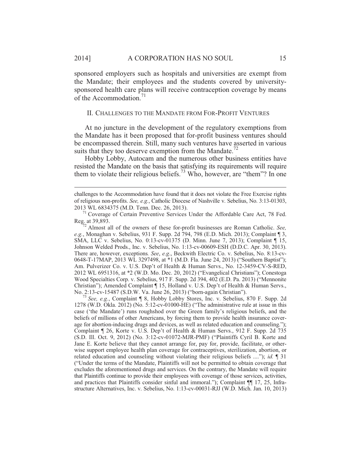$\overline{a}$ 

sponsored employers such as hospitals and universities are exempt from the Mandate; their employees and the students covered by universitysponsored health care plans will receive contraception coverage by means of the Accommodation.<sup>71</sup>

#### II. CHALLENGES TO THE MANDATE FROM FOR-PROFIT VENTURES

At no juncture in the development of the regulatory exemptions from the Mandate has it been proposed that for-profit business ventures should be encompassed therein. Still, many such ventures have asserted in various suits that they too deserve exemption from the Mandate.<sup>72</sup>

Hobby Lobby, Autocam and the numerous other business entities have resisted the Mandate on the basis that satisfying its requirements will require them to violate their religious beliefs.<sup>73</sup> Who, however, are "them"? In one

Reg. at 39,893. 72 Almost all of the owners of these for-profit businesses are Roman Catholic. *See, e.g.*, Monaghan v. Sebelius, 931 F. Supp. 2d 794, 798 (E.D. Mich. 2013); Complaint ¶ 3, SMA, LLC v. Sebelius, No. 0:13-cv-01375 (D. Minn. June 7, 2013); Complaint ¶ 15, Johnson Welded Prods., Inc. v. Sebelius, No. 1:13-cv-00609-ESH (D.D.C. Apr. 30, 2013). There are, however, exceptions*. See*, *e.g*., Beckwith Electric Co. v. Sebelius, No. 8:13-cv-0648-T-17MAP, 2013 WL 3297498, at \*1 (M.D. Fla. June 24, 2013) ("Southern Baptist"); Am. Pulverizer Co. v. U.S. Dep't of Health & Human Servs., No. 12-3459-CV-S-RED, 2012 WL 6951316, at \*2 (W.D. Mo. Dec. 20, 2012) ("Evangelical Christians"); Conestoga Wood Specialties Corp. v. Sebelius, 917 F. Supp. 2d 394, 402 (E.D. Pa. 2013) ("Mennonite Christian"); Amended Complaint ¶ 15, Holland v. U.S. Dep't of Health & Human Servs., No. 2:13-cv-15487 (S.D.W. Va. June 26, 2013) ("born-again Christian").

See, e.g., Complaint ¶ 8, Hobby Lobby Stores, Inc. v. Sebelius, 870 F. Supp. 2d 1278 (W.D. Okla. 2012) (No. 5:12-cv-01000-HE) ("The administrative rule at issue in this case ('the Mandate') runs roughshod over the Green family's religious beliefs, and the beliefs of millions of other Americans, by forcing them to provide health insurance coverage for abortion-inducing drugs and devices, as well as related education and counseling."); Complaint ¶ 26, Korte v. U.S. Dep't of Health & Human Servs., 912 F. Supp. 2d 735 (S.D. Ill. Oct. 9, 2012) (No. 3:12-cv-01072-MJR-PMF) ("Plaintiffs Cyril B. Korte and Jane E. Korte believe that they cannot arrange for, pay for, provide, facilitate, or otherwise support employee health plan coverage for contraceptives, sterilization, abortion, or related education and counseling without violating their religious beliefs ...."); *id.* ¶ 31 ("Under the terms of the Mandate, Plaintiffs will not be permitted to obtain coverage that excludes the aforementioned drugs and services. On the contrary, the Mandate will require that Plaintiffs continue to provide their employees with coverage of those services, activities, and practices that Plaintiffs consider sinful and immoral."); Complaint ¶¶ 17, 25, Infrastructure Alternatives, Inc. v. Sebelius, No. 1:13-cv-00031-RJJ (W.D. Mich. Jan. 10, 2013)

challenges to the Accommodation have found that it does not violate the Free Exercise rights of religious non-profits. *See, e.g.*, Catholic Diocese of Nashville v. Sebelius, No. 3:13-01303, 2013 WL 6834375 (M.D. Tenn. Dec. 26, 2013). 71 Coverage of Certain Preventive Services Under the Affordable Care Act, 78 Fed.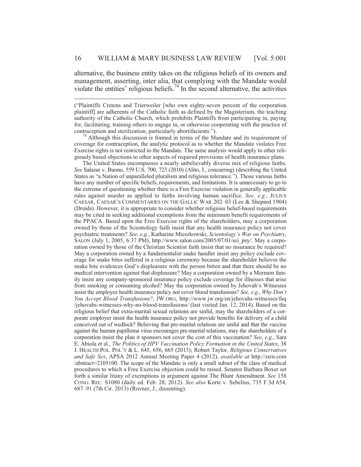alternative, the business entity takes on the religious beliefs of its owners and management, asserting, inter alia, that complying with the Mandate would violate the entities' religious beliefs.<sup>74</sup> In the second alternative, the activities

 $\overline{a}$ 

("Plaintiffs Cretens and Trierweiler [who own eighty-seven percent of the corporation plaintiff] are adherents of the Catholic faith as defined by the Magisterium, the teaching authority of the Catholic Church, which prohibits Plaintiffs from participating in, paying for, facilitating, training others to engage in, or otherwise cooperating with the practice of contraception and sterilization, particularly abortifacients."). 74 Although this discussion is framed in terms of the Mandate and its requirement of

coverage for contraception, the analytic protocol as to whether the Mandate violates Free Exercise rights is not restricted to the Mandate. The same analysis would apply to other religiously based objections to other aspects of required provisions of health insurance plans.

The United States encompasses a nearly unbelievably diverse mix of religious faiths. *See* Salazar v. Buono, 559 U.S. 700, 723 (2010) (Alito, J., concurring) (describing the United States as "a Nation of unparalleled pluralism and religious tolerance."). Those various faiths have any number of specific beliefs, requirements, and limitations. It is unnecessary to go to the extreme of questioning whether there is a Free Exercise violation in generally applicable rules against murder as applied to faiths involving human sacrifice. *See, e.g.*, JULIUS CAESAR, CAESAR'S COMMENTARIES ON THE GALLIC WAR 202–03 (Lee & Shepard 1904) (Druids). However, it is appropriate to consider whether religious belief-based requirements may be cited in seeking additional exemptions from the minimum benefit requirements of the PPACA. Based upon the Free Exercise rights of the shareholders, may a corporation owned by those of the Scientology faith insist that any health insurance policy not cover psychiatric treatments? *See, e.g.*, Katharine Mieszkowski, *Scientology's War on Psychiatry*, SALON (July 1, 2005, 6:37 PM), http://www.salon.com/2005/07/01/sci\_psy/. May a corporation owned by those of the Christian Scientist faith insist that no insurance be required? May a corporation owned by a fundamentalist snake handler insist any policy exclude coverage for snake bites suffered in a religious ceremony because the shareholder believes the snake bite evidences God's displeasure with the person bitten and that there should be no medical intervention against that displeasure? May a corporation owned by a Mormon family insist any company-sponsored insurance policy exclude coverage for illnesses that arise from smoking or consuming alcohol? May the corporation owned by Jehovah's Witnesses insist the employee health insurance policy not cover blood transfusions? *See, e.g.*, *Why Don't You Accept Blood Transfusions?*, JW.ORG, http://www.jw.org/en/jehovahs-witnesses/faq /jehovahs-witnesses-why-no-blood-transfusions/ (last visited Jan. 12, 2014). Based on the religious belief that extra-marital sexual relations are sinful, may the shareholders of a corporate employer insist the health insurance policy not provide benefits for delivery of a child conceived out of wedlock? Believing that pre-marital relations are sinful and that the vaccine against the human papilloma virus encourages pre-marital relations, may the shareholders of a corporation insist the plan it sponsors not cover the cost of this vaccination? *See*, *e.g.*, Sara E. Abiola et al., *The Politics of HPV Vaccination Policy Formation in the United States*, 38 J. HEALTH POL. POL'Y & L. 645, 656, 665 (2013); Robert Taylor, *Religious Conservatives and Safe Sex*, APSA 2012 Annual Meeting Paper 4 (2012), *available at* http://ssrn.com /abstract=2105100. The scope of the Mandate is only a small subset of the class of medical procedures to which a Free Exercise objection could be raised. Senator Barbara Boxer set forth a similar litany of exemptions in argument against The Blunt Amendment. *See* 158 CONG. REC. S1080 (daily ed. Feb. 28, 2012). *See also* Korte v. Sebelius, 735 F.3d 654, 687–91 (7th Cir. 2013) (Rovner, J., dissenting).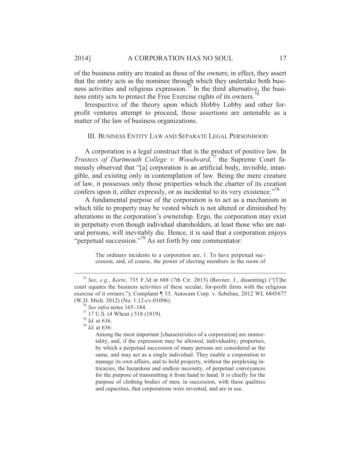of the business entity are treated as those of the owners; in effect, they assert that the entity acts as the nominee through which they undertake both business activities and religious expression.<sup>75</sup> In the third alternative, the business entity acts to protect the Free Exercise rights of its owners.<sup>76</sup>

Irrespective of the theory upon which Hobby Lobby and other forprofit ventures attempt to proceed, these assertions are untenable as a matter of the law of business organizations.

#### III. BUSINESS ENTITY LAW AND SEPARATE LEGAL PERSONHOOD

A corporation is a legal construct that is the product of positive law. In *Trustees of Dartmouth College v. Woodward*, 77 the Supreme Court famously observed that "[a] corporation is an artificial body, invisible, intangible, and existing only in contemplation of law. Being the mere creature of law, it possesses only those properties which the charter of its creation confers upon it, either expressly, or as incidental to its very existence."<sup>78</sup>

A fundamental purpose of the corporation is to act as a mechanism in which title to property may be vested which is not altered or diminished by alterations in the corporation's ownership. Ergo, the corporation may exist in perpetuity even though individual shareholders, at least those who are natural persons, will inevitably die. Hence, it is said that a corporation enjoys "perpetual succession."79 As set forth by one commentator:

> The ordinary incidents to a corporation are, 1. To have perpetual succession, and, of course, the power of electing members in the room of

Among the most important [characteristics of a corporation] are immortality, and, if the expression may be allowed, individuality; properties, by which a perpetual succession of many persons are considered as the same, and may act as a single individual. They enable a corporation to manage its own affairs, and to hold property, without the perplexing intricacies, the hazardous and endless necessity, of perpetual conveyances for the purpose of transmitting it from hand to hand. It is chiefly for the purpose of clothing bodies of men, in succession, with these qualities and capacities, that corporations were invented, and are in use.

 <sup>75</sup> *See*, *e.g.*, *Korte*, 735 F.3d at 688 (7th Cir. 2013) (Rovner, J., dissenting) ("[T]he court equates the business activities of these secular, for-profit firms with the religious exercise of it owners."); Complaint ¶ 33, Autocam Corp. v. Sebelius, 2012 WL 6845677 (W.D. Mich. 2012) (No. 1:12-cv-01096).<br><sup>76</sup> *See infra* notes 165–184.<br><sup>77</sup> 17 U.S. (4 Wheat.) 518 (1819).<br><sup>78</sup> *Id.* at 636.

<sup>78</sup> *Id*. at 636. 79 *Id.* at 636: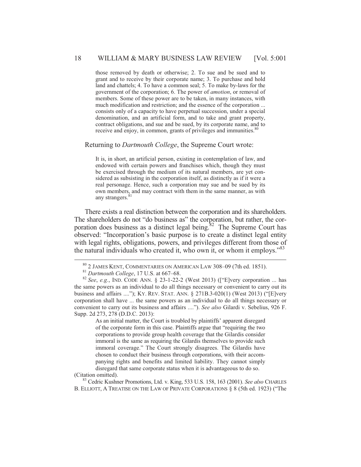those removed by death or otherwise; 2. To sue and be sued and to grant and to receive by their corporate name; 3. To purchase and hold land and chattels; 4. To have a common seal; 5. To make by-laws for the government of the corporation; 6. The power of *amotion*, or removal of members. Some of these power are to be taken, in many instances, with much modification and restriction; and the essence of the corporation ... consists only of a capacity to have perpetual succession, under a special denomination, and an artificial form, and to take and grant property, contract obligations, and sue and be sued, by its corporate name, and to receive and enjoy, in common, grants of privileges and immunities.<sup>80</sup>

#### Returning to *Dartmouth College*, the Supreme Court wrote:

It is, in short, an artificial person, existing in contemplation of law, and endowed with certain powers and franchises which, though they must be exercised through the medium of its natural members, are yet considered as subsisting in the corporation itself, as distinctly as if it were a real personage. Hence, such a corporation may sue and be sued by its own members, and may contract with them in the same manner, as with any strangers.<sup>8</sup>

There exists a real distinction between the corporation and its shareholders. The shareholders do not "do business as" the corporation, but rather, the corporation does business as a distinct legal being. $82$  The Supreme Court has observed: "Incorporation's basic purpose is to create a distinct legal entity with legal rights, obligations, powers, and privileges different from those of the natural individuals who created it, who own it, or whom it employs."<sup>83</sup>

As an initial matter, the Court is troubled by plaintiffs' apparent disregard of the corporate form in this case. Plaintiffs argue that "requiring the two corporations to provide group health coverage that the Gilardis consider immoral is the same as requiring the Gilardis themselves to provide such immoral coverage." The Court strongly disagrees. The Gilardis have chosen to conduct their business through corporations, with their accompanying rights and benefits and limited liability. They cannot simply disregard that same corporate status when it is advantageous to do so.

(Citation omitted). 83 Cedric Kushner Promotions, Ltd. v. King, 533 U.S. 158, 163 (2001). *See also* CHARLES B. ELLIOTT, A TREATISE ON THE LAW OF PRIVATE CORPORATIONS § 8 (5th ed. 1923) ("The

 <sup>80 2</sup> JAMES KENT, COMMENTARIES ON AMERICAN LAW 308–09 (7th ed. 1851). 81 *Dartmouth College*, 17 U.S. at 667–68. 82 *See*, *e.g.*, IND. CODE ANN. § 23-1-22-2 (West 2013) (["E]very corporation ... has the same powers as an individual to do all things necessary or convenient to carry out its business and affairs ...."); KY. REV. STAT. ANN.  $\S 271B.3-020(1)$  (West 2013) ("[E]very corporation shall have ... the same powers as an individual to do all things necessary or convenient to carry out its business and affairs ...."). *See also* Gilardi v. Sebelius, 926 F. Supp. 2d 273, 278 (D.D.C. 2013):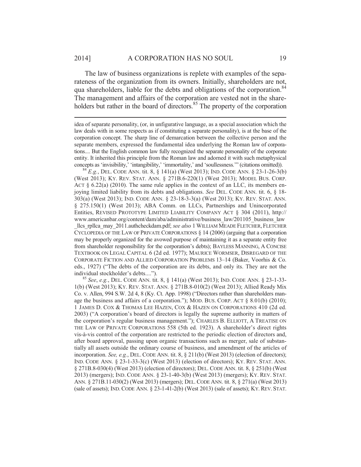$\overline{a}$ 

The law of business organizations is replete with examples of the separateness of the organization from its owners. Initially, shareholders are not, qua shareholders, liable for the debts and obligations of the corporation.<sup>84</sup> The management and affairs of the corporation are vested not in the shareholders but rather in the board of directors.<sup>85</sup> The property of the corporation

concepts as 'invisibility,' 'intangibility,' 'immortality,' and 'soullessness.'" (citations omitted)). <sup>84</sup> *E.g.*, DEL. CODE ANN. tit. 8, § 141(a) (West 2013); IND. CODE ANN. § 23-1-26-3(b) (West 2013); KY. REV. STAT. ANN. § 271B.6-220(1) (West 2013); MODEL BUS. CORP. ACT  $\S$  6.22(a) (2010). The same rule applies in the context of an LLC, its members enjoying limited liability from its debts and obligations. *See* DEL. CODE ANN. tit. 6, § 18- 303(a) (West 2013); IND. CODE ANN. § 23-18-3-3(a) (West 2013); KY. REV. STAT. ANN. § 275.150(1) (West 2013); ABA Comm. on LLCs, Partnerships and Unincorporated Entities, REVISED PROTOTYPE LIMITED LIABILITY COMPANY ACT § 304 (2011), http:// www.americanbar.org/content/dam/aba/administrative/business\_law/201105\_business\_law \_llcs\_rpllca\_may\_2011.authcheckdam.pdf; *see also* 1 WILLIAM MEADE FLETCHER, FLETCHER CYCLOPEDIA OF THE LAW OF PRIVATE CORPORATIONS § 14 (2006) (arguing that a corporation may be properly organized for the avowed purpose of maintaining it as a separate entity free from shareholder responsibility for the corporation's debts); BAYLESS MANNING, A CONCISE TEXTBOOK ON LEGAL CAPITAL 6 (2d ed. 1977); MAURICE WORMSER, DISREGARD OF THE CORPORATE FICTION AND ALLIED CORPORATION PROBLEMS 13–14 (Baker, Voorhis & Co. eds., 1927) ("The debts of the corporation are its debts, and only its. They are not the individual stockholder's debts....").

<sup>85</sup> *See*, *e.g.*, DEL. CODE ANN. tit. 8, § 141(a) (West 2013); IND. CODE ANN. § 23-1-33-1(b) (West 2013); KY. REV. STAT. ANN. § 271B.8-010(2) (West 2013); Allied Ready Mix Co. v. Allen, 994 S.W. 2d 4, 8 (Ky. Ct. App. 1998) ("Directors rather than shareholders manage the business and affairs of a corporation."); MOD. BUS. CORP. ACT  $\S$  8.01(b) (2010); 1 JAMES D. COX & THOMAS LEE HAZEN, COX & HAZEN ON CORPORATIONS 410 (2d ed. 2003) ("A corporation's board of directors is legally the supreme authority in matters of the corporation's regular business management."); CHARLES B. ELLIOTT, A TREATISE ON THE LAW OF PRIVATE CORPORATIONS 558 (5th ed. 1923). A shareholder's direct rights vis-à-vis control of the corporation are restricted to the periodic election of directors and, after board approval, passing upon organic transactions such as merger, sale of substantially all assets outside the ordinary course of business, and amendment of the articles of incorporation. *See, e.g.*, DEL. CODE ANN. tit. 8, § 211(b) (West 2013) (election of directors); IND. CODE ANN. § 23-1-33-3(c) (West 2013) (election of directors); KY. REV. STAT. ANN. § 271B.8-030(4) (West 2013) (election of directors); DEL. CODE ANN. tit. 8, § 251(b) (West 2013) (mergers); IND. CODE ANN. § 23-1-40-3(b) (West 2013) (mergers); KY. REV. STAT. ANN. § 271B.11-030(2) (West 2013) (mergers); DEL. CODE ANN. tit. 8, § 271(a) (West 2013) (sale of assets); IND. CODE ANN. § 23-1-41-2(b) (West 2013) (sale of assets); KY. REV. STAT.

idea of separate personality, (or, in unfigurative language, as a special association which the law deals with in some respects as if constituting a separate personality), is at the base of the corporation concept. The sharp line of demarcation between the collective person and the separate members, expressed the fundamental idea underlying the Roman law of corporations.... But the English common law fully recognized the separate personality of the corporate entity. It inherited this principle from the Roman law and adorned it with such metaphysical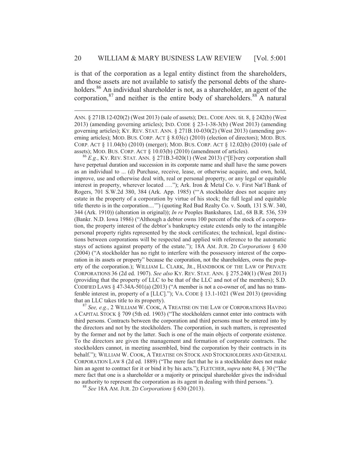is that of the corporation as a legal entity distinct from the shareholders, and those assets are not available to satisfy the personal debts of the shareholders.<sup>86</sup> An individual shareholder is not, as a shareholder, an agent of the corporation,  $87$  and neither is the entire body of shareholders.  $88^\circ$  A natural

 $\overline{a}$ 

have perpetual duration and succession in its corporate name and shall have the same powers as an individual to ... (d) Purchase, receive, lease, or otherwise acquire, and own, hold, improve, use and otherwise deal with, real or personal property, or any legal or equitable interest in property, wherever located …."); Ark. Iron & Metal Co. v. First Nat'l Bank of Rogers, 701 S.W.2d 380, 384 (Ark. App. 1985) ("'A stockholder does not acquire any estate in the property of a corporation by virtue of his stock; the full legal and equitable title thereto is in the corporation....'") (quoting Red Bud Realty Co. v. South*,* 131 S.W. 340, 344 (Ark. 1910)) (alteration in original)); *In re* Peoples Bankshares*,* Ltd., 68 B.R. 536, 539 (Bankr. N.D. Iowa 1986) ("Although a debtor owns 100 percent of the stock of a corporation, the property interest of the debtor's bankruptcy estate extends only to the intangible personal property rights represented by the stock certificates; the technical, legal distinctions between corporations will be respected and applied with reference to the automatic stays of actions against property of the estate."); 18A AM. JUR. 2D *Corporations* § 630 (2004) ("A stockholder has no right to interfere with the possessory interest of the corporation in its assets or property" because the corporation, not the shareholders, owns the property of the corporation.); WILLIAM L. CLARK, JR., HANDBOOK OF THE LAW OF PRIVATE CORPORATIONS 36 (2d ed. 1907). *See also* KY. REV. STAT. ANN. § 275.240(1) (West 2013) (providing that the property of LLC to be that of the LLC and not of the members); S.D. CODIFIED LAWS  $\S$  47-34A-501(a) (2013) ("A member is not a co-owner of, and has no transferable interest in, property of a [LLC]."); VA. CODE § 13.1-1021 (West 2013) (providing that an LLC takes title to its property). 87 *See, e.g.*, 2 WILLIAM W. COOK, <sup>A</sup> TREATISE ON THE LAW OF CORPORATIONS HAVING

A CAPITAL STOCK § 709 (5th ed. 1903) ("The stockholders cannot enter into contracts with third persons. Contracts between the corporation and third persons must be entered into by the directors and not by the stockholders. The corporation, in such matters, is represented by the former and not by the latter. Such is one of the main objects of corporate existence. To the directors are given the management and formation of corporate contracts. The stockholders cannot, in meeting assembled, bind the corporation by their contracts in its behalf."); WILLIAM W. COOK, A TREATISE ON STOCK AND STOCKHOLDERS AND GENERAL CORPORATION LAW 8 (2d ed. 1889) ("The mere fact that he is a stockholder does not make him an agent to contract for it or bind it by his acts."); FLETCHER,*supra* note 84, § 30 ("The mere fact that one is a shareholder or a majority or principal shareholder gives the individual no authority to represent the corporation as its agent in dealing with third persons."). 88 *See* 18A AM. JUR. 2D *Corporations* § 630 (2013).

ANN. § 271B.12-020(2) (West 2013) (sale of assets); DEL. CODE ANN. tit. 8, § 242(b) (West 2013) (amending governing articles); IND. CODE § 23-1-38-3(b) (West 2013) (amending governing articles); KY. REV. STAT. ANN. § 271B.10-030(2) (West 2013) (amending governing articles); MOD. BUS. CORP. ACT § 8.03(c) (2010) (election of directors); MOD. BUS. CORP. ACT § 11.04(b) (2010) (merger); MOD. BUS. CORP. ACT § 12.02(b) (2010) (sale of assets); MOD. BUS. CORP. ACT § 10.03(b) (2010) (amendment of articles). 86 *E.g.*, KY. REV. STAT. ANN. § 271B.3-020(1) (West 2013) ("[E]very corporation shall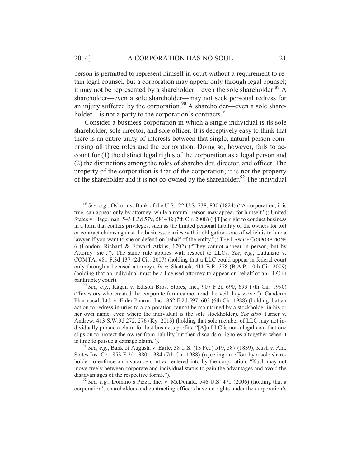person is permitted to represent himself in court without a requirement to retain legal counsel, but a corporation may appear only through legal counsel; it may not be represented by a shareholder—even the sole shareholder.  $89\text{ A}$ shareholder—even a sole shareholder—may not seek personal redress for an injury suffered by the corporation.<sup>90</sup> A shareholder—even a sole shareholder—is not a party to the corporation's contracts.<sup>91</sup>

Consider a business corporation in which a single individual is its sole shareholder, sole director, and sole officer. It is deceptively easy to think that there is an entire unity of interests between that single, natural person comprising all three roles and the corporation. Doing so, however, fails to account for (1) the distinct legal rights of the corporation as a legal person and (2) the distinctions among the roles of shareholder, director, and officer. The property of the corporation is that of the corporation; it is not the property of the shareholder and it is not co-owned by the shareholder.<sup>92</sup> The individual

 <sup>89</sup> *See*, *e.g.*, Osborn v. Bank of the U.S., 22 U.S. 738, 830 (1824) ("A corporation, it is true, can appear only by attorney, while a natural person may appear for himself."); United States v. Hagerman, 545 F.3d 579, 581–82 (7th Cir. 2008) ("[T]he right to conduct business in a form that confers privileges, such as the limited personal liability of the owners for tort or contract claims against the business, carries with it obligations one of which is to hire a lawyer if you want to sue or defend on behalf of the entity."); THE LAW OF CORPORATIONS 6 (London, Richard & Edward Atkins, 1702) ("They cannot appear in person, but by Attorny [sic]."). The same rule applies with respect to LLCs. *See*, *e.g.*, Lattanzio v. COMTA, 481 F.3d 137 (2d Cir. 2007) (holding that a LLC could appear in federal court only through a licensed attorney); *In re* Shattuck, 411 B.R. 378 (B.A.P. 10th Cir. 2009) (holding that an individual must be a licensed attorney to appear on behalf of an LLC in bankruptcy court). 90 *See*, *e.g.*, Kagan v. Edison Bros. Stores, Inc., 907 F.2d 690, 693 (7th Cir. 1990)

<sup>(&</sup>quot;Investors who created the corporate form cannot rend the veil they wove."); Canderm Pharmacal, Ltd. v. Elder Pharm., Inc., 862 F.2d 597, 603 (6th Cir. 1988) (holding that an action to redress injuries to a corporation cannot be maintained by a stockholder in his or her own name, even where the individual is the sole stockholder). *See also* Turner v. Andrew, 413 S.W.3d 272, 276 (Ky. 2013) (holding that sole member of LLC may not individually pursue a claim for lost business profits; "[A]n LLC is not a legal coat that one slips on to protect the owner from liability but then discards or ignores altogether when it is time to pursue a damage claim."). 91 *See*, *e.g.*, Bank of Augusta v. Earle, 38 U.S. (13 Pet.) 519, 587 (1839); Kush v. Am.

States Ins. Co., 853 F.2d 1380, 1384 (7th Cir. 1988) (rejecting an effort by a sole shareholder to enforce an insurance contract entered into by the corporation, "Kush may not move freely between corporate and individual status to gain the advantages and avoid the disadvantages of the respective forms.").<br><sup>92</sup> *See*, *e.g.*, Domino's Pizza, Inc. v. McDonald, 546 U.S. 470 (2006) (holding that a

corporation's shareholders and contracting officers have no rights under the corporation's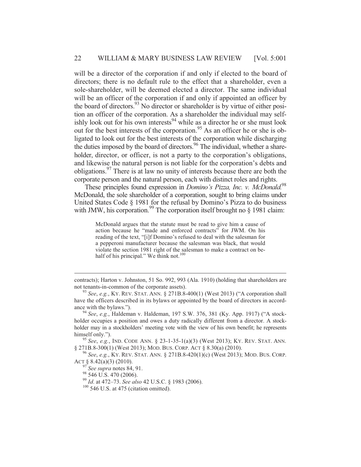will be a director of the corporation if and only if elected to the board of directors; there is no default rule to the effect that a shareholder, even a sole-shareholder, will be deemed elected a director. The same individual will be an officer of the corporation if and only if appointed an officer by the board of directors.  $93$  No director or shareholder is by virtue of either position an officer of the corporation. As a shareholder the individual may selfishly look out for his own interests<sup>94</sup> while as a director he or she must look out for the best interests of the corporation.<sup>95</sup> As an officer he or she is obligated to look out for the best interests of the corporation while discharging the duties imposed by the board of directors.<sup>96</sup> The individual, whether a shareholder, director, or officer, is not a party to the corporation's obligations, and likewise the natural person is not liable for the corporation's debts and obligations.97 There is at law no unity of interests because there are both the corporate person and the natural person, each with distinct roles and rights.

These principles found expression in *Domino's Pizza, Inc. v. McDonald.*<sup>98</sup> McDonald, the sole shareholder of a corporation, sought to bring claims under United States Code § 1981 for the refusal by Domino's Pizza to do business with JMW, his corporation.<sup>99</sup> The corporation itself brought no  $\S$  1981 claim:

McDonald argues that the statute must be read to give him a cause of action because he "made and enforced contracts" for JWM. On his reading of the text, "[i]f Domino's refused to deal with the salesman for a pepperoni manufacturer because the salesman was black, that would violate the section 1981 right of the salesman to make a contract on behalf of his principal." We think not.<sup>1</sup>

§ 271B.8-300(1) (West 2013); MOD. BUS. CORP. ACT § 8.30(a) (2010). 96 *See*, *e.g.*, KY. REV. STAT. ANN. § 271B.8-420(1)(c) (West 2013); MOD. BUS. CORP.

ACT § 8.42(a)(3) (2010).

 $\overline{a}$ 

<sup>97</sup> *See supra* notes 84, 91. 98 546 U.S. 470 (2006).

<sup>99</sup> *Id.* at 472–73. *See also* 42 U.S.C. § 1983 (2006).<br><sup>100</sup> 546 U.S. at 475 (citation omitted).

contracts); Harton v. Johnston, 51 So. 992, 993 (Ala. 1910) (holding that shareholders are not tenants-in-common of the corporate assets).<br><sup>93</sup> *See*, *e.g.*, KY. REV. STAT. ANN. § 271B.8-400(1) (West 2013) ("A corporation shall

have the officers described in its bylaws or appointed by the board of directors in accordance with the bylaws.").<br><sup>94</sup> *See*, *e.g.*, Haldeman v. Haldeman, 197 S.W. 376, 381 (Ky. App. 1917) ("A stock-

holder occupies a position and owes a duty radically different from a director. A stockholder may in a stockholders' meeting vote with the view of his own benefit; he represents himself only."). 95 *See*, *e.g.*, IND. CODE ANN. § 23-1-35-1(a)(3) (West 2013); KY. REV. STAT. ANN.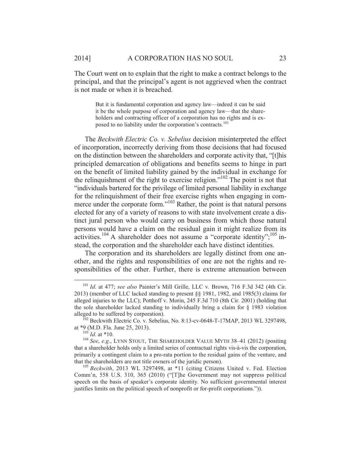The Court went on to explain that the right to make a contract belongs to the principal, and that the principal's agent is not aggrieved when the contract is not made or when it is breached.

But it is fundamental corporation and agency law—indeed it can be said it be the whole purpose of corporation and agency law—that the shareholders and contracting officer of a corporation has no rights and is exposed to no liability under the corporation's contracts.<sup>101</sup>

The *Beckwith Electric Co. v. Sebelius* decision misinterpreted the effect of incorporation, incorrectly deriving from those decisions that had focused on the distinction between the shareholders and corporate activity that, "[t]his principled demarcation of obligations and benefits seems to hinge in part on the benefit of limited liability gained by the individual in exchange for the relinquishment of the right to exercise religion."102 The point is not that "individuals bartered for the privilege of limited personal liability in exchange for the relinquishment of their free exercise rights when engaging in commerce under the corporate form."<sup>103</sup> Rather, the point is that natural persons elected for any of a variety of reasons to with state involvement create a distinct jural person who would carry on business from which those natural persons would have a claim on the residual gain it might realize from its activities.<sup>104</sup> A shareholder does not assume a "corporate identity";<sup>105</sup> instead, the corporation and the shareholder each have distinct identities.

The corporation and its shareholders are legally distinct from one another, and the rights and responsibilities of one are not the rights and responsibilities of the other. Further, there is extreme attenuation between

 <sup>101</sup> *Id*. at 477; *see also* Painter's Mill Grille, LLC v. Brown, 716 F.3d 342 (4th Cir. 2013) (member of LLC lacked standing to present §§ 1981, 1982, and 1985(3) claims for alleged injuries to the LLC); Potthoff v. Morin, 245 F.3d 710 (8th Cir. 2001) (holding that the sole shareholder lacked standing to individually bring a claim for § 1983 violation

alleged to be suffered by corporation).<br><sup>102</sup> Beckwith Electric Co. v. Sebelius, No. 8:13-cv-0648-T-17MAP, 2013 WL 3297498, at \*9 (M.D. Fla. June 25, 2013).

<sup>&</sup>lt;sup>103</sup> *Id.* at \*10. <sup>103</sup> *Id.* at \*10. <sup>104</sup> *See*, *e.g.*, LYNN STOUT, THE SHAREHOLDER VALUE MYTH 38–41 (2012) (positing that a shareholder holds only a limited series of contractual rights vis-à-vis the corporation, primarily a contingent claim to a pro-rata portion to the residual gains of the venture, and that the shareholders are not title owners of the juridic person). 105 *Beckwith*, 2013 WL 3297498, at \*11 (citing Citizens United v. Fed. Election

Comm'n, 558 U.S. 310, 365 (2010) ("[T]he Government may not suppress political speech on the basis of speaker's corporate identity. No sufficient governmental interest justifies limits on the political speech of nonprofit or for-profit corporations.")).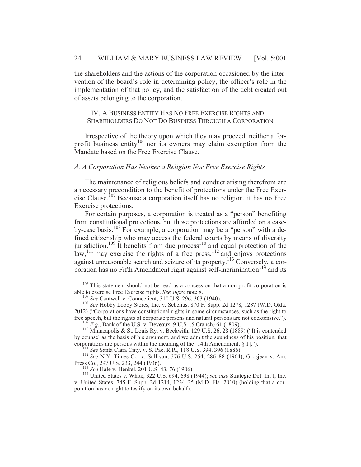the shareholders and the actions of the corporation occasioned by the intervention of the board's role in determining policy, the officer's role in the implementation of that policy, and the satisfaction of the debt created out of assets belonging to the corporation.

IV. A BUSINESS ENTITY HAS NO FREE EXERCISE RIGHTS AND SHAREHOLDERS DO NOT DO BUSINESS THROUGH A CORPORATION

Irrespective of the theory upon which they may proceed, neither a forprofit business entity<sup>106</sup> nor its owners may claim exemption from the Mandate based on the Free Exercise Clause.

#### *A. A Corporation Has Neither a Religion Nor Free Exercise Rights*

The maintenance of religious beliefs and conduct arising therefrom are a necessary precondition to the benefit of protections under the Free Exercise Clause.<sup>107</sup> Because a corporation itself has no religion, it has no Free Exercise protections.

For certain purposes, a corporation is treated as a "person" benefiting from constitutional protections, but those protections are afforded on a caseby-case basis.108 For example, a corporation may be a "person" with a defined citizenship who may access the federal courts by means of diversity jurisdiction.<sup>109</sup> It benefits from due process<sup>110</sup> and equal protection of the law,  $\frac{111}{11}$  may exercise the rights of a free press,  $\frac{112}{112}$  and enjoys protections against unreasonable search and seizure of its property.113 Conversely, a corporation has no Fifth Amendment right against self-incrimination<sup> $114$ </sup> and its

 $106$  This statement should not be read as a concession that a non-profit corporation is able to exercise Free Exercise rights. See supra note 8.

<sup>&</sup>lt;sup>107</sup> *See* Cantwell v. Connecticut, 310 U.S. 296, 303 (1940). <sup>108</sup> *See* Hobby Lobby Stores, Inc. v. Sebelius, 870 F. Supp. 2d 1278, 1287 (W.D. Okla. 2012) ("Corporations have constitutional rights in some circumstances, such as the right to free speech, but the rights of corporate persons and natural persons are not coextensive.").

<sup>&</sup>lt;sup>109</sup> E.g., Bank of the U.S. v. Deveaux, 9 U.S. (5 Cranch) 61 (1809).<br><sup>110</sup> Minneapolis & St. Louis Ry. v. Beckwith, 129 U.S. 26, 28 (1889) ("It is contended by counsel as the basis of his argument, and we admit the soundness of his position, that corporations are persons within the meaning of the  $[14th$  Amendment,  $\S 1]$ .").

<sup>&</sup>lt;sup>111</sup> See Santa Clara Cnty. v. S. Pac. R.R., 118 U.S. 394, 396 (1886).<br><sup>112</sup> See N.Y. Times Co. v. Sullivan, 376 U.S. 254, 286–88 (1964); Grosjean v. Am.<br>Press Co., 297 U.S. 233, 244 (1936).

<sup>&</sup>lt;sup>113</sup> See Hale v. Henkel, 201 U.S. 43, 76 (1906). <sup>114</sup> United States v. White, 322 U.S. 694, 698 (1944); *see also* Strategic Def. Int'l, Inc. v. United States, 745 F. Supp. 2d 1214, 1234–35 (M.D. Fla. 2010) (holding that a corporation has no right to testify on its own behalf).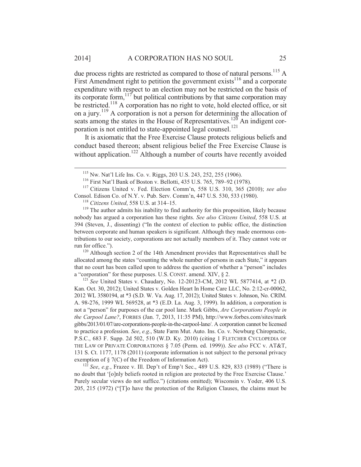due process rights are restricted as compared to those of natural persons.<sup>115</sup> A First Amendment right to petition the government exists  $116$  and a corporate expenditure with respect to an election may not be restricted on the basis of its corporate form,  $117$  but political contributions by that same corporation may be restricted.<sup>118</sup> A corporation has no right to vote, hold elected office, or sit on a jury.<sup>119</sup> A corporation is not a person for determining the allocation of seats among the states in the House of Representatives.<sup>120</sup> An indigent corporation is not entitled to state-appointed legal counsel.<sup>121</sup>

It is axiomatic that the Free Exercise Clause protects religious beliefs and conduct based thereon; absent religious belief the Free Exercise Clause is without application.<sup>122</sup> Although a number of courts have recently avoided

run for office.").<br><sup>120</sup> Although section 2 of the 14th Amendment provides that Representatives shall be allocated among the states "counting the whole number of persons in each State," it appears that no court has been called upon to address the question of whether a "person" includes a "corporation" for these purposes. U.S. CONST. amend. XIV, § 2.<br><sup>121</sup> *See* United States v. Chaudary, No. 12-20123-CM, 2012 WL 5877414, at \*2 (D.

Kan. Oct. 30, 2012); United States v. Golden Heart In Home Care LLC, No. 2:12-cr-00062, 2012 WL 3580194, at \*3 (S.D. W. Va. Aug. 17, 2012); United States v. Johnson, No. CRIM. A. 98-276, 1999 WL 569528, at \*3 (E.D. La. Aug. 3, 1999). In addition, a corporation is not a "person" for purposes of the car pool lane. Mark Gibbs, *Are Corporations People in the Carpool Lane?*, FORBES (Jan. 7, 2013, 11:35 PM), http://www.forbes.com/sites/mark gibbs/2013/01/07/are-corporations-people-in-the-carpool-lane/. A corporation cannot be licensed to practice a profession. *See*, *e.g*., State Farm Mut. Auto. Ins. Co. v. Newburg Chiropractic, P.S.C., 683 F. Supp. 2d 502, 510 (W.D. Ky. 2010) (citing 1 FLETCHER CYCLOPEDIA OF THE LAW OF PRIVATE CORPORATIONS § 7.05 (Perm. ed. 1999)). *See also* FCC v. AT&T, 131 S. Ct. 1177, 1178 (2011) (corporate information is not subject to the personal privacy exemption of § 7(C) of the Freedom of Information Act).<br><sup>122</sup> *See*, *e.g.*, Frazee v. Ill. Dep't of Emp't Sec., 489 U.S. 829, 833 (1989) ("There is

no doubt that '[o]nly beliefs rooted in religion are protected by the Free Exercise Clause.' Purely secular views do not suffice.") (citations omitted); Wisconsin v. Yoder, 406 U.S. 205, 215 (1972) ("[T]o have the protection of the Religion Clauses, the claims must be

<sup>&</sup>lt;sup>115</sup> Nw. Nat'l Life Ins. Co. v. Riggs, 203 U.S. 243, 252, 255 (1906).<br><sup>116</sup> First Nat'l Bank of Boston v. Bellotti, 435 U.S. 765, 789–92 (1978).<br><sup>117</sup> Citizens United v. Fed. Election Comm'n, 558 U.S. 310, 365 (2010); *se* Consol. Edison Co. of N.Y. v. Pub. Serv. Comm'n, 447 U.S. 530, 533 (1980). 118 *Citizens United*, 558 U.S. at 314–15. 119 The author admits his inability to find authority for this proposition, likely because

nobody has argued a corporation has these rights. *See also Citizens United*, 558 U.S. at 394 (Steven, J., dissenting) ("In the context of election to public office, the distinction between corporate and human speakers is significant. Although they made enormous contributions to our society, corporations are not actually members of it. They cannot vote or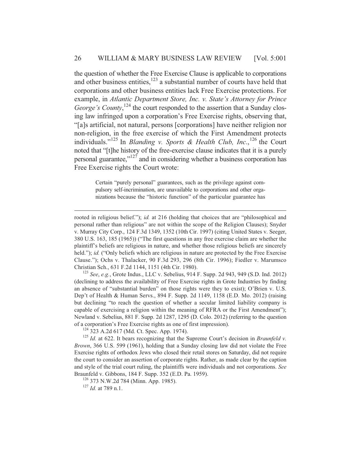the question of whether the Free Exercise Clause is applicable to corporations and other business entities, $123$  a substantial number of courts have held that corporations and other business entities lack Free Exercise protections. For example, in *Atlantic Department Store, Inc. v. State's Attorney for Prince*  George's County,<sup>124</sup> the court responded to the assertion that a Sunday closing law infringed upon a corporation's Free Exercise rights, observing that, "[a]s artificial, not natural, persons [corporations] have neither religion nor non-religion, in the free exercise of which the First Amendment protects individuals."<sup>125</sup> In *Blanding v. Sports & Health Club, Inc.*,<sup>126</sup> the Court noted that "[t]he history of the free-exercise clause indicates that it is a purely personal guarantee,"127 and in considering whether a business corporation has Free Exercise rights the Court wrote:

> Certain "purely personal" guarantees, such as the privilege against compulsory self-incrimination, are unavailable to corporations and other organizations because the "historic function" of the particular guarantee has

rooted in religious belief."); *id.* at 216 (holding that choices that are "philosophical and personal rather than religious" are not within the scope of the Religion Clauses); Snyder v. Murray City Corp., 124 F.3d 1349, 1352 (10th Cir. 1997) (citing United States v. Seeger, 380 U.S. 163, 185 (1965)) ("The first questions in any free exercise claim are whether the plaintiff's beliefs are religious in nature, and whether those religious beliefs are sincerely held."); *id.* ("Only beliefs which are religious in nature are protected by the Free Exercise Clause."); Ochs v. Thalacker, 90 F.3d 293, 296 (8th Cir. 1996); Fiedler v. Marumsco Christian Sch., 631 F.2d 1144, 1151 (4th Cir. 1980). 123 *See*, *e.g.*, Grote Indus., LLC v. Sebelius, 914 F. Supp. 2d 943, 949 (S.D. Ind. 2012)

(declining to address the availability of Free Exercise rights in Grote Industries by finding an absence of "substantial burden" on those rights were they to exist); O'Brien v. U.S. Dep't of Health & Human Servs., 894 F. Supp. 2d 1149, 1158 (E.D. Mo. 2012) (raising but declining "to reach the question of whether a secular limited liability company is capable of exercising a religion within the meaning of RFRA or the First Amendment"); Newland v. Sebelius, 881 F. Supp. 2d 1287, 1295 (D. Colo. 2012) (referring to the question of a corporation's Free Exercise rights as one of first impression).<br><sup>124</sup> 323 A.2d 617 (Md. Ct. Spec. App. 1974).<br><sup>125</sup> *Id.* at 622. It bears recognizing that the Supreme Court's decision in *Braunfeld v*.

*Brown*, 366 U.S. 599 (1961), holding that a Sunday closing law did not violate the Free Exercise rights of orthodox Jews who closed their retail stores on Saturday, did not require the court to consider an assertion of corporate rights. Rather, as made clear by the caption and style of the trial court ruling, the plaintiffs were individuals and not corporations. *See* Braunfeld v. Gibbons, 184 F. Supp. 352 (E.D. Pa. 1959). 126 373 N.W.2d 784 (Minn. App. 1985). 127 *Id.* at 789 n.1.

 $\overline{a}$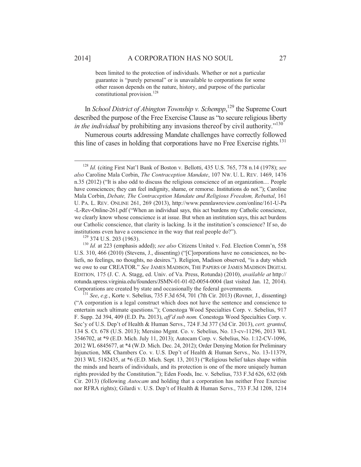been limited to the protection of individuals. Whether or not a particular guarantee is "purely personal" or is unavailable to corporations for some other reason depends on the nature, history, and purpose of the particular constitutional provision.<sup>128</sup>

In *School District of Abington Township v. Schempp*, 129 the Supreme Court described the purpose of the Free Exercise Clause as "to secure religious liberty *in the individual* by prohibiting any invasions thereof by civil authority."<sup>130</sup>

Numerous courts addressing Mandate challenges have correctly followed this line of cases in holding that corporations have no Free Exercise rights.<sup>131</sup>

U.S. 310, 466 (2010) (Stevens, J., dissenting) ("[C]orporations have no consciences, no beliefs, no feelings, no thoughts, no desires."). Religion, Madison observed, "is a duty which we owe to our CREATOR." *See* JAMES MADISON, THE PAPERS OF JAMES MADISON DIGITAL EDITION*,* 175 (J. C. A. Stagg, ed. Univ. of Va. Press, Rotunda) (2010), *available at* http:// rotunda.upress.virginia.edu/founders/JSMN-01-01-02-0054-0004 (last visited Jan. 12, 2014). Corporations are created by state and occasionally the federal governments. 131 *See*, *e.g.*, Korte v. Sebelius, 735 F.3d 654, 701 (7th Cir. 2013) (Rovner, J., dissenting)

("A corporation is a legal construct which does not have the sentence and conscience to entertain such ultimate questions."); Conestoga Wood Specialties Corp. v. Sebelius, 917 F. Supp. 2d 394, 409 (E.D. Pa. 2013), *aff'd sub nom.* Conestoga Wood Specialties Corp. v. Sec'y of U.S. Dep't of Health & Human Servs., 724 F.3d 377 (3d Cir. 2013), *cert. granted*, 134 S. Ct. 678 (U.S. 2013); Mersino Mgmt. Co. v. Sebelius, No. 13-cv-11296, 2013 WL 3546702, at \*9 (E.D. Mich. July 11, 2013); Autocam Corp. v. Sebelius, No. 1:12-CV-1096, 2012 WL 6845677, at \*4 (W.D. Mich. Dec. 24, 2012); Order Denying Motion for Preliminary Injunction, MK Chambers Co. v. U.S. Dep't of Health & Human Servs., No. 13-11379, 2013 WL 5182435, at \*6 (E.D. Mich. Sept. 13, 2013) ("Religious belief takes shape within the minds and hearts of individuals, and its protection is one of the more uniquely human rights provided by the Constitution."); Eden Foods, Inc. v. Sebelius, 733 F.3d 626, 632 (6th Cir. 2013) (following *Autocam* and holding that a corporation has neither Free Exercise nor RFRA rights); Gilardi v. U.S. Dep't of Health & Human Servs., 733 F.3d 1208, 1214

 <sup>128</sup> *Id.* (citing First Nat'l Bank of Boston v. Bellotti, 435 U.S. 765, 778 n.14 (1978); *see also* Caroline Mala Corbin, *The Contraception Mandate*, 107 NW. U. L. REV. 1469, 1476 n.35 (2012) ("It is also odd to discuss the religious conscience of an organization.... People have consciences; they can feel indignity, shame, or remorse. Institutions do not."); Caroline Mala Corbin, *Debate, The Contraception Mandate and Religious Freedom, Rebuttal*, 161 U. PA. L. REV. ONLINE 261, 269 (2013), http://www.pennlawreview.com/online/161-U-Pa -L-Rev-Online-261.pdf ("When an individual says, this act burdens my Catholic conscience, we clearly know whose conscience is at issue. But when an institution says, this act burdens our Catholic conscience, that clarity is lacking. Is it the institution's conscience? If so, do institutions even have a conscience in the way that real people do?").<br><sup>129</sup> 374 U.S. 203 (1963).<br><sup>130</sup> *Id.* at 223 (emphasis added); *see also* Citizens United v. Fed. Election Comm'n, 558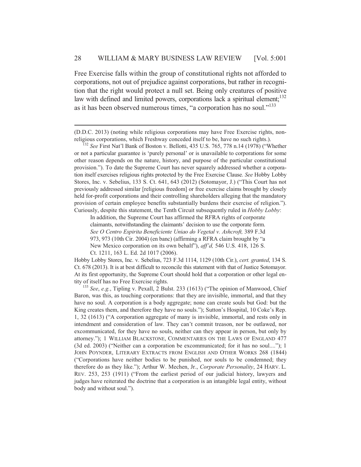Free Exercise falls within the group of constitutional rights not afforded to corporations, not out of prejudice against corporations, but rather in recognition that the right would protect a null set. Being only creatures of positive law with defined and limited powers, corporations lack a spiritual element; $^{132}$ as it has been observed numerous times, "a corporation has no soul."<sup>133</sup>

(D.D.C. 2013) (noting while religious corporations may have Free Exercise rights, nonreligious corporations, which Freshway conceded itself to be, have no such rights.). 132 *See* First Nat'l Bank of Boston v. Bellotti, 435 U.S. 765, 778 n.14 (1978) ("Whether

 $\overline{a}$ 

or not a particular guarantee is 'purely personal' or is unavailable to corporations for some other reason depends on the nature, history, and purpose of the particular constitutional provision."). To date the Supreme Court has never squarely addressed whether a corporation itself exercises religious rights protected by the Free Exercise Clause. *See* Hobby Lobby Stores, Inc. v. Sebelius, 133 S. Ct. 641, 643 (2012) (Sotomayor, J.) ("This Court has not previously addressed similar [religious freedom] or free exercise claims brought by closely held for-profit corporations and their controlling shareholders alleging that the mandatory provision of certain employee benefits substantially burdens their exercise of religion."). Curiously, despite this statement, the Tenth Circuit subsequently ruled in *Hobby Lobby*:

In addition, the Supreme Court has affirmed the RFRA rights of corporate claimants, notwithstanding the claimants' decision to use the corporate form. *See O Centro Espirita Beneficiente Uniao do Vegetal v. Ashcroft,* 389 F.3d 973, 973 (10th Cir. 2004) (en banc) (affirming a RFRA claim brought by "a New Mexico corporation on its own behalf"), *aff'd,* 546 U.S. 418, 126 S. Ct. 1211, 163 L. Ed. 2d 1017 (2006).

Hobby Lobby Stores, Inc. v. Sebelius, 723 F.3d 1114, 1129 (10th Cir.), *cert. granted*, 134 S. Ct. 678 (2013). It is at best difficult to reconcile this statement with that of Justice Sotomayor. At its first opportunity, the Supreme Court should hold that a corporation or other legal entity of itself has no Free Exercise rights. 133 *See*, *e.g.*, Tipling v. Pexall, 2 Bulst. 233 (1613) ("The opinion of Manwood, Chief

Baron, was this, as touching corporations: that they are invisible, immortal, and that they have no soul. A corporation is a body aggregate; none can create souls but God: but the King creates them, and therefore they have no souls."); Sutton's Hospital, 10 Coke's Rep. 1, 32 (1613) ("A corporation aggregate of many is invisible, immortal, and rests only in intendment and consideration of law. They can't commit treason, nor be outlawed, nor excommunicated, for they have no souls, neither can they appear in person, but only by attorney."); 1 WILLIAM BLACKSTONE, COMMENTARIES ON THE LAWS OF ENGLAND 477 (3d ed. 2003) ("Neither can a corporation be excommunicated; for it has no soul...."); 1 JOHN POYNDER, LITERARY EXTRACTS FROM ENGLISH AND OTHER WORKS 268 (1844) ("Corporations have neither bodies to be punished, nor souls to be condemned; they therefore do as they like."); Arthur W. Mechen, Jr., *Corporate Personality*, 24 HARV. L. REV. 253, 253 (1911) ("From the earliest period of our judicial history, lawyers and judges have reiterated the doctrine that a corporation is an intangible legal entity, without body and without soul.").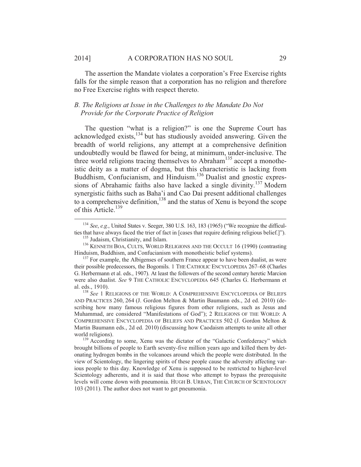The assertion the Mandate violates a corporation's Free Exercise rights falls for the simple reason that a corporation has no religion and therefore no Free Exercise rights with respect thereto.

# *B. The Religions at Issue in the Challenges to the Mandate Do Not Provide for the Corporate Practice of Religion*

The question "what is a religion?" is one the Supreme Court has acknowledged exists, $134$  but has studiously avoided answering. Given the breadth of world religions, any attempt at a comprehensive definition undoubtedly would be flawed for being, at minimum, under-inclusive. The three world religions tracing themselves to Abraham<sup>135</sup> accept a monotheistic deity as a matter of dogma, but this characteristic is lacking from Buddhism, Confucianism, and Hinduism.<sup>136</sup> Dualist and gnostic expressions of Abrahamic faiths also have lacked a single divinity.<sup>137</sup> Modern synergistic faiths such as Baha'i and Cao Dai present additional challenges to a comprehensive definition, $138$  and the status of Xenu is beyond the scope of this Article.<sup>139</sup>

<sup>&</sup>lt;sup>134</sup> *See*, *e.g.*, United States v. Seeger, 380 U.S. 163, 183 (1965) ("We recognize the difficulties that have always faced the trier of fact in [cases that require defining religious belief.]").

<sup>&</sup>lt;sup>135</sup> Judaism, Christianity, and Islam.<br><sup>136</sup> KENNETH BOA, CULTS, WORLD RELIGIONS AND THE OCCULT 16 (1990) (contrasting<br>Hinduism, Buddhism, and Confucianism with monotheistic belief systems).

 $^{137}$  For example, the Albigenses of southern France appear to have been dualist, as were their possible predecessors, the Bogomils. 1 THE CATHOLIC ENCYCLOPEDIA 267–68 (Charles G. Herbermann et al. eds., 1907). At least the followers of the second century heretic Marcion were also dualist. *See* 9 THE CATHOLIC ENCYCLOPEDIA 645 (Charles G. Herbermann et al. eds., 1910). 138 *See* 1 RELIGIONS OF THE WORLD: <sup>A</sup> COMPREHENSIVE ENCYCLOPEDIA OF BELIEFS

AND PRACTICES 260, 264 (J. Gordon Melton & Martin Baumann eds., 2d ed. 2010) (describing how many famous religious figures from other religions, such as Jesus and Muhammad, are considered "Manifestations of God"); 2 RELIGIONS OF THE WORLD: A COMPREHENSIVE ENCYCLOPEDIA OF BELIEFS AND PRACTICES 502 (J. Gordon Melton & Martin Baumann eds., 2d ed. 2010) (discussing how Caodaism attempts to unite all other

world religions).<br><sup>139</sup> According to some, Xenu was the dictator of the "Galactic Confederacy" which brought billions of people to Earth seventy-five million years ago and killed them by detonating hydrogen bombs in the volcanoes around which the people were distributed. In the view of Scientology, the lingering spirits of these people cause the adversity affecting various people to this day. Knowledge of Xenu is supposed to be restricted to higher-level Scientology adherents, and it is said that those who attempt to bypass the prerequisite levels will come down with pneumonia. HUGH B. URBAN, THE CHURCH OF SCIENTOLOGY 103 (2011). The author does not want to get pneumonia.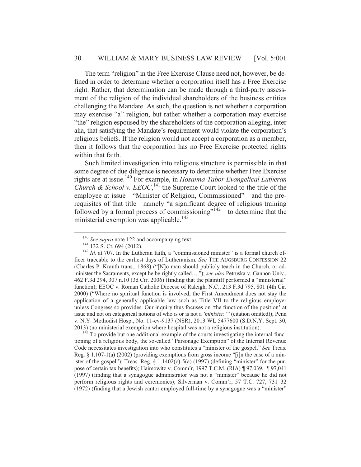The term "religion" in the Free Exercise Clause need not, however, be defined in order to determine whether a corporation itself has a Free Exercise right. Rather, that determination can be made through a third-party assessment of the religion of the individual shareholders of the business entities challenging the Mandate. As such, the question is not whether a corporation may exercise "a" religion, but rather whether a corporation may exercise "the" religion espoused by the shareholders of the corporation alleging, inter alia, that satisfying the Mandate's requirement would violate the corporation's religious beliefs. If the religion would not accept a corporation as a member, then it follows that the corporation has no Free Exercise protected rights within that faith.

Such limited investigation into religious structure is permissible in that some degree of due diligence is necessary to determine whether Free Exercise rights are at issue.140 For example, in *Hosanna-Tabor Evangelical Lutheran Church & School v. EEOC*,  $^{141}$  the Supreme Court looked to the title of the employee at issue—"Minister of Religion, Commissioned"—and the prerequisites of that title—namely "a significant degree of religious training followed by a formal process of commissioning" $142$ —to determine that the ministerial exemption was applicable.<sup>143</sup>

tioning of a religious body, the so-called "Parsonage Exemption" of the Internal Revenue Code necessitates investigation into who constitutes a "minister of the gospel." *See* Treas. Reg.  $\S 1.107-1(a)$  (2002) (providing exemptions from gross income "[i]n the case of a minister of the gospel"); Treas. Reg.  $\S$  1.1402(c)-5(a) (1997) (defining "minister" for the purpose of certain tax benefits); Haimowitz v. Comm'r, 1997 T.C.M. (RIA) ¶ 97,039, ¶ 97,041 (1997) (finding that a synagogue administrator was not a "minister" because he did not perform religious rights and ceremonies); Silverman v. Comm'r, 57 T.C. 727, 731–32 (1972) (finding that a Jewish cantor employed full-time by a synagogue was a "minister"

<sup>&</sup>lt;sup>140</sup> *See supra* note 122 and accompanying text.<br><sup>141</sup> 132 S. Ct. 694 (2012).<br><sup>142</sup> *Id.* at 707. In the Lutheran faith, a "commissioned minister" is a formal church officer traceable to the earliest days of Lutheranism. *See* THE AUGSBURG CONFESSION 22 (Charles P. Krauth trans., 1868) ("[N]o man should publicly teach in the Church, or administer the Sacraments, except he be rightly called…."); *see also* Petruska v. Gannon Univ., 462 F.3d 294, 307 n.10 (3d Cir. 2006) (finding that the plaintiff performed a "ministerial" function); EEOC v. Roman Catholic Diocese of Raleigh, N.C., 213 F.3d 795, 801 (4th Cir. 2000) ("Where no spiritual function is involved, the First Amendment does not stay the application of a generally applicable law such as Title VII to the religious employer unless Congress so provides. Our inquiry thus focuses on 'the function of the position' at issue and not on categorical notions of who is or is not a *'minister.'"* (citation omitted)); Penn v. N.Y. Methodist Hosp., No. 11-cv-9137 (NSR), 2013 WL 5477600 (S.D.N.Y. Sept. 30, 2013) (no ministerial exemption where hospital was not a religious institution).  $143$  To provide but one additional example of the courts investigating the internal func-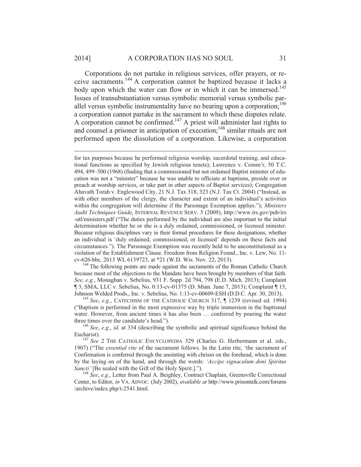#### 2014] A CORPORATION HAS NO SOUL 31

 $\overline{a}$ 

Corporations do not partake in religious services, offer prayers, or receive sacraments.144 A corporation cannot be baptized because it lacks a body upon which the water can flow or in which it can be immersed.<sup>145</sup> Issues of transubstantiation versus symbolic memorial versus symbolic parallel versus symbolic instrumentality have no bearing upon a corporation;<sup>146</sup> a corporation cannot partake in the sacrament to which these disputes relate. A corporation cannot be confirmed.<sup>147</sup> A priest will administer last rights to and counsel a prisoner in anticipation of execution;<sup>148</sup> similar rituals are not performed upon the dissolution of a corporation. Likewise, a corporation

because most of the objections to the Mandate have been brought by members of that faith. *See, e.g.*, Monaghan v. Sebelius, 931 F. Supp. 2d 794, 798 (E.D. Mich. 2013); Complaint ¶ 3, SMA, LLC v. Sebelius, No. 0:13-cv-01375 (D. Minn. June 7, 2013); Complaint ¶ 15, Johnson Welded Prods., Inc. v. Sebelius, No. 1:13-cv-00609-ESH (D.D.C. Apr. 30, 2013). 145 *See*, *e.g.*, CATECHISM OF THE CATHOLIC CHURCH 317, ¶ 1239 (revised ed. 1994)

("Baptism is performed in the most expressive way by triple immersion in the baptismal water. However, from ancient times it has also been ... conferred by pouring the water three times over the candidate's head."). 146 *See*, *e.g.*, *id.* at 334 (describing the symbolic and spiritual significance behind the

Eucharist).<br><sup>147</sup> *See* 2 THE CATHOLIC ENCYCLOPEDIA 329 (Charles G. Herbermann et al. eds.,

1907) ("The *essential rite* of the sacrament follows. In the Latin rite, 'the sacrament of Confirmation is conferred through the anointing with chrism on the forehead, which is done by the laying on of the hand, and through the words: *'Accipe signaculum doni Spiritus Sancti'* [Be sealed with the Gift of the Holy Spirit.]."). 148 *See*, *e.g.*, Letter from Paul A. Beighley, Contract Chaplain, Greensville Correctional

Center, to Editor, *in* VA. ADVOC. (July 2002), *available at* http://www.prisontalk.com/forums /archive/index.php/t-2541.html.

for tax purposes because he performed religious worship, sacerdotal training, and educational functions as specified by Jewish religious tenets); Lawrence v. Comm'r, 50 T.C. 494, 499–500 (1968) (finding that a commissioned but not ordained Baptist minister of education was not a "minister" because he was unable to officiate at baptisms, preside over or preach at worship services, or take part in other aspects of Baptist services); Congregation Ahavath Torah v. Englewood City, 21 N.J. Tax 318, 323 (N.J. Tax Ct. 2004) ("Instead, as with other members of the clergy, the character and extent of an individual's activities within the congregation will determine if the Parsonage Exemption applies."); *Ministers Audit Techniques Guide*, INTERNAL REVENUE SERV. 5 (2009), http://www.irs.gov/pub/irs -utl/ministers.pdf ("The duties performed by the individual are also important to the initial determination whether he or she is a duly ordained, commissioned, or licensed minister. Because religious disciplines vary in their formal procedures for these designations, whether an individual is 'duly ordained, commissioned, or licensed' depends on these facts and circumstances."). The Parsonage Exemption was recently held to be unconstitutional as a violation of the Establishment Clause. Freedom from Religion Found., Inc. v. Lew, No. 11 cv-626-bbc, 2013 WL 6139723, at \*21 (W.D. Wis. Nov. 22, 2013). 144 The following points are made against the sacraments of the Roman Catholic Church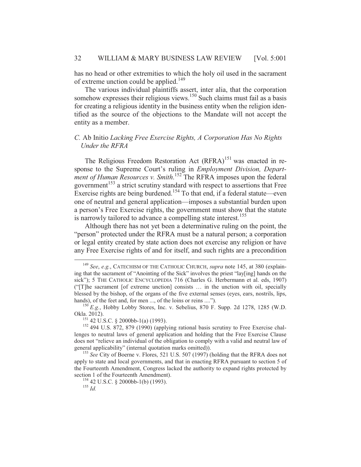has no head or other extremities to which the holy oil used in the sacrament of extreme unction could be applied.<sup>149</sup>

The various individual plaintiffs assert, inter alia, that the corporation somehow expresses their religious views. $150$  Such claims must fail as a basis for creating a religious identity in the business entity when the religion identified as the source of the objections to the Mandate will not accept the entity as a member.

# *C.* Ab Initio *Lacking Free Exercise Rights, A Corporation Has No Rights Under the RFRA*

The Religious Freedom Restoration Act (RFRA)<sup>151</sup> was enacted in response to the Supreme Court's ruling in *Employment Division, Department of Human Resources v. Smith*. 152 The RFRA imposes upon the federal government<sup>153</sup> a strict scrutiny standard with respect to assertions that Free Exercise rights are being burdened.<sup>154</sup> To that end, if a federal statute—even one of neutral and general application—imposes a substantial burden upon a person's Free Exercise rights, the government must show that the statute is narrowly tailored to advance a compelling state interest.<sup>155</sup>

Although there has not yet been a determinative ruling on the point, the "person" protected under the RFRA must be a natural person; a corporation or legal entity created by state action does not exercise any religion or have any Free Exercise rights of and for itself, and such rights are a precondition

 <sup>149</sup> *See*, *e.g.*, CATECHISM OF THE CATHOLIC CHURCH, *supra* note 145, at 380 (explaining that the sacrament of "Anointing of the Sick" involves the priest "lay[ing] hands on the sick"); 5 THE CATHOLIC ENCYCLOPEDIA 716 (Charles G. Herbermann et al. eds, 1907) ("[T]he sacrament [of extreme unction] consists … in the unction with oil, specially blessed by the bishop, of the organs of the five external senses (eyes, ears, nostrils, lips,

hands), of the feet and, for men ..., of the loins or reins ....").<br><sup>150</sup> *E.g.*, Hobby Lobby Stores, Inc. v. Sebelius, 870 F. Supp. 2d 1278, 1285 (W.D. Okla. 2012).

<sup>&</sup>lt;sup>151</sup> 42 U.S.C. § 2000bb-1(a) (1993). <sup>152</sup> 494 U.S. 872, 879 (1990) (applying rational basis scrutiny to Free Exercise challenges to neutral laws of general application and holding that the Free Exercise Clause does not "relieve an individual of the obligation to comply with a valid and neutral law of general applicability" (internal quotation marks omitted)).

<sup>&</sup>lt;sup>153</sup> See City of Boerne v. Flores, 521 U.S. 507 (1997) (holding that the RFRA does not apply to state and local governments, and that in enacting RFRA pursuant to section 5 of the Fourteenth Amendment, Congress lacked the authority to expand rights protected by section 1 of the Fourteenth Amendment).<br><sup>154</sup> 42 U.S.C. § 2000bb-1(b) (1993).<br><sup>155</sup> *Id*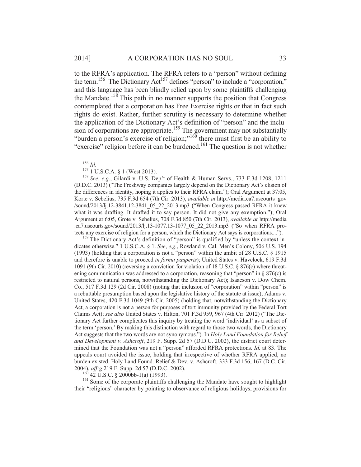to the RFRA's application. The RFRA refers to a "person" without defining the term.<sup>156</sup> The Dictionary Act<sup>157</sup> defines "person" to include a "corporation," and this language has been blindly relied upon by some plaintiffs challenging the Mandate.<sup>158</sup> This path in no manner supports the position that Congress contemplated that a corporation has Free Exercise rights or that in fact such rights do exist. Rather, further scrutiny is necessary to determine whether the application of the Dictionary Act's definition of "person" and the inclusion of corporations are appropriate.<sup>159</sup> The government may not substantially "burden a person's exercise of religion;"<sup>160</sup> there must first be an ability to "exercise" religion before it can be burdened.<sup>161</sup> The question is not whether

dicates otherwise." 1 U.S.C.A. § 1. *See*, *e.g.*, Rowland v. Cal. Men's Colony, 506 U.S. 194 (1993) (holding that a corporation is not a "person" within the ambit of 28 U.S.C. § 1915 and therefore is unable to proceed *in forma pauperis*); United States v. Havelock, 619 F.3d 1091 (9th Cir. 2010) (reversing a conviction for violation of 18 U.S.C. § 876(c) where threatening communication was addressed to a corporation, reasoning that "person" in  $\S 876(c)$  is restricted to natural persons, notwithstanding the Dictionary Act); Isaacson v. Dow Chem. Co., 517 F.3d 129 (2d Cir. 2008) (noting that inclusion of "corporation" within "person" is a rebuttable presumption based upon the legislative history of the statute at issue); Adams v. United States, 420 F.3d 1049 (9th Cir. 2005) (holding that, notwithstanding the Dictionary Act, a corporation is not a person for purposes of tort immunity provided by the Federal Tort Claims Act); *see also* United States v. Hilton, 701 F.3d 959, 967 (4th Cir. 2012) ("The Dictionary Act further complicates this inquiry by treating the word 'individual' as a subset of the term 'person.' By making this distinction with regard to those two words, the Dictionary Act suggests that the two words are not synonymous."). In *Holy Land Foundation for Relief and Development v. Ashcroft*, 219 F. Supp. 2d 57 (D.D.C. 2002), the district court determined that the Foundation was not a "person" afforded RFRA protections. *Id.* at 83. The appeals court avoided the issue, holding that irrespective of whether RFRA applied, no burden existed. Holy Land Found. Relief & Dev. v. Ashcroft, 333 F.3d 156, 167 (D.C. Cir.

2004), *aff'g* 219 F. Supp. 2d 57 (D.D.C. 2002).<br><sup>160</sup> 42 U.S.C. § 2000bb-1(a) (1993).<br><sup>161</sup> Some of the corporate plaintiffs challenging the Mandate have sought to highlight their "religious" character by pointing to observance of religious holidays, provisions for

<sup>156</sup> *Id.* 157 1 U.S.C.A. § 1 (West 2013). 158 *See*, *e.g*., Gilardi v. U.S. Dep't of Health & Human Servs., 733 F.3d 1208, 1211 (D.D.C. 2013) ("The Freshway companies largely depend on the Dictionary Act's elision of the differences in identity, hoping it applies to their RFRA claim."); Oral Argument at 37:05, Korte v. Sebelius, 735 F.3d 654 (7th Cir. 2013), *available at* http://media.ca7.uscourts .gov /sound/2013/lj.12-3841.12-3841\_05\_22\_2013.mp3 ("When Congress passed RFRA it knew what it was drafting. It drafted it to say person. It did not give any exemption."); Oral Argument at 6:05, Grote v. Sebelius, 708 F.3d 850 (7th Cir. 2013), *available at* http://media .ca7.uscourts.gov/sound/2013/lj.13-1077.13-1077\_05\_22\_2013.mp3 ("So when RFRA protects any exercise of religion for a person, which the Dictionary Act says is corporations....").<br><sup>159</sup> The Dictionary Act's definition of "person" is qualified by "unless the context in-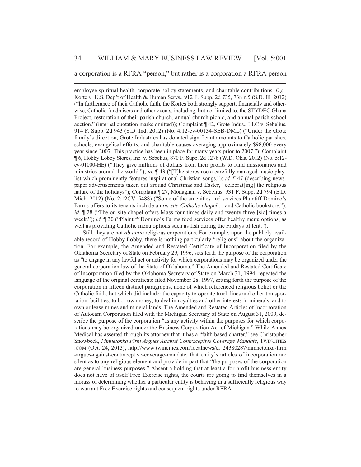#### a corporation is a RFRA "person," but rather is a corporation a RFRA person

 $\overline{a}$ 

employee spiritual health, corporate policy statements, and charitable contributions. *E.g.*, Korte v. U.S. Dep't of Health & Human Servs., 912 F. Supp. 2d 735, 738 n.5 (S.D. Ill. 2012) ("In furtherance of their Catholic faith, the Kortes both strongly support, financially and otherwise, Catholic fundraisers and other events, including, but not limited to, the STYDEC Ghana Project, restoration of their parish church, annual church picnic, and annual parish school auction." (internal quotation marks omitted)); Complaint ¶ 42, Grote Indus., LLC v. Sebelius, 914 F. Supp. 2d 943 (S.D. Ind. 2012) (No. 4:12-cv-00134-SEB-DML) ("Under the Grote family's direction, Grote Industries has donated significant amounts to Catholic parishes, schools, evangelical efforts, and charitable causes averaging approximately \$98,000 every year since 2007. This practice has been in place for many years prior to 2007."); Complaint ¶ 6, Hobby Lobby Stores, Inc. v. Sebelius, 870 F. Supp. 2d 1278 (W.D. Okla. 2012) (No. 5:12 cv-01000-HE) ("They give millions of dollars from their profits to fund missionaries and ministries around the world."); *id.*  $\P$  43 ("[T]he stores use a carefully managed music playlist which prominently features inspirational Christian songs."); *id.* ¶ 47 (describing newspaper advertisements taken out around Christmas and Easter, "celebrat[ing] the religious nature of the holidays"); Complaint ¶ 27, Monaghan v. Sebelius, 931 F. Supp. 2d 794 (E.D. Mich. 2012) (No. 2:12CV15488) ("Some of the amenities and services Plaintiff Domino's Farms offers to its tenants include an *on-site Catholic chapel* ... and Catholic bookstore."); *id.*  $\sqrt{28}$  ("The on-site chapel offers Mass four times daily and twenty three [sic] times a week."); *id.* ¶ 30 ("Plaintiff Domino's Farms food services offer healthy menu options, as well as providing Catholic menu options such as fish during the Fridays of lent.").

Still, they are not *ab initio* religious corporations. For example, upon the publicly available record of Hobby Lobby, there is nothing particularly "religious" about the organization. For example, the Amended and Restated Certificate of Incorporation filed by the Oklahoma Secretary of State on February 29, 1996, sets forth the purpose of the corporation as "to engage in any lawful act or activity for which corporations may be organized under the general corporation law of the State of Oklahoma." The Amended and Restated Certificate of Incorporation filed by the Oklahoma Secretary of State on March 31, 1994, repeated the language of the original certificate filed November 28, 1997, setting forth the purpose of the corporation in fifteen distinct paragraphs, none of which referenced religious belief or the Catholic faith, but which did include: the capacity to operate truck lines and other transportation facilities, to borrow money, to deal in royalties and other interests in minerals, and to own or lease mines and mineral lands. The Amended and Restated Articles of Incorporation of Autocam Corporation filed with the Michigan Secretary of State on August 31, 2009, describe the purpose of the corporation "as any activity within the purposes for which corporations may be organized under the Business Corporation Act of Michigan." While Annex Medical has asserted through its attorney that it has a "faith based charter," see Christopher Snowbeck, *Minnetonka Firm Argues Against Contraceptive Coverage Mandate*, TWINCITIES .COM (Oct. 24, 2013), http://www.twincities.com/localnews/ci\_24380287/minnetonka-firm -argues-against-contraceptive-coverage-mandate, that entity's articles of incorporation are silent as to any religious element and provide in part that "the purposes of the corporation are general business purposes." Absent a holding that at least a for-profit business entity does not have of itself Free Exercise rights, the courts are going to find themselves in a morass of determining whether a particular entity is behaving in a sufficiently religious way to warrant Free Exercise rights and consequent rights under RFRA.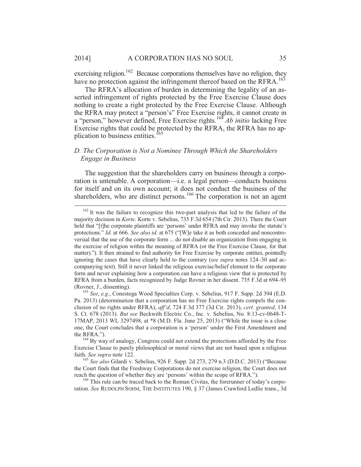exercising religion.<sup>162</sup> Because corporations themselves have no religion, they have no protection against the infringement thereof based on the RFRA.<sup>163</sup>

The RFRA's allocation of burden in determining the legality of an asserted infringement of rights protected by the Free Exercise Clause does nothing to create a right protected by the Free Exercise Clause. Although the RFRA may protect a "person's" Free Exercise rights, it cannot create in a "person," however defined, Free Exercise rights.<sup>164</sup> *Ab initio* lacking Free Exercise rights that could be protected by the RFRA, the RFRA has no application to business entities.<sup>165</sup>

## *D. The Corporation is Not a Nominee Through Which the Shareholders Engage in Business*

The suggestion that the shareholders carry on business through a corporation is untenable. A corporation—i.e. a legal person—conducts business for itself and on its own account; it does not conduct the business of the shareholders, who are distinct persons.<sup>166</sup> The corporation is not an agent

ration. *See* RUDOLPH SOHM, THE INSTITUTES 190, § 37 (James Crawford Ledlie trans., 3d

<sup>&</sup>lt;sup>162</sup> It was the failure to recognize this two-part analysis that led to the failure of the majority decision in *Korte*. Korte v. Sebelius, 735 F.3d 654 (7th Cir. 2013). There the Court held that "[t]he corporate plaintiffs are 'persons' under RFRA and may invoke the statute's protections." *Id*. at 666. *See also id*. at 675 ("[W]e take it as both conceded and noncontroversial that the use of the corporate form ... do not disable an organization from engaging in the exercise of religion within the meaning of RFRA (or the Free Exercise Clause, for that matter)."). It then strained to find authority for Free Exercise by corporate entities, pointedly ignoring the cases that have clearly held to the contrary (*see supra* notes 124–30 and accompanying text). Still it never linked the religious exercise/belief element to the corporate form and never explaining how a corporation can have a religious view that is protected by RFRA from a burden, facts recognized by Judge Rovner in her dissent. 735 F.3d at 694–95 (Rovner, J., dissenting). 163 *See*, *e.g.*, Conestoga Wood Specialties Corp. v. Sebelius, 917 F. Supp. 2d 394 (E.D.

Pa. 2013) (determination that a corporation has no Free Exercise rights compels the conclusion of no rights under RFRA), *aff'd*, 724 F.3d 377 (3d Cir. 2013), *cert. granted*, 134 S. Ct. 678 (2013). *But see* Beckwith Electric Co., Inc. v. Sebelius, No. 8:13-cv-0648-T-17MAP, 2013 WL 3297498, at \*8 (M.D. Fla. June 25, 2013) ("While the issue is a close one, the Court concludes that a corporation is a 'person' under the First Amendment and

the RFRA.").<br><sup>164</sup> By way of analogy, Congress could not extend the protections afforded by the Free Exercise Clause to purely philosophical or moral views that are not based upon a religious faith. *See supra* note 122.<br><sup>165</sup> *See also* Gilardi v. Sebelius, 926 F. Supp. 2d 273, 279 n.3 (D.D.C. 2013) ("Because

the Court finds that the Freshway Corporations do not exercise religion, the Court does not reach the question of whether they are 'persons' within the scope of RFRA.").<br><sup>166</sup> This rule can be traced back to the Roman Civitas, the forerunner of today's corpo-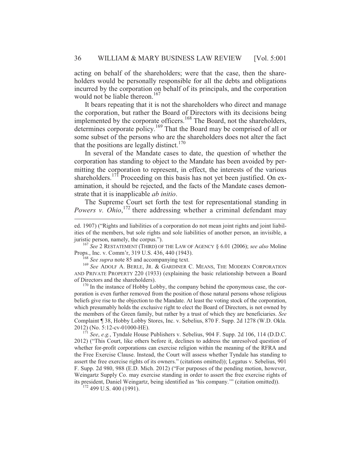acting on behalf of the shareholders; were that the case, then the shareholders would be personally responsible for all the debts and obligations incurred by the corporation on behalf of its principals, and the corporation would not be liable thereon.<sup>167</sup>

It bears repeating that it is not the shareholders who direct and manage the corporation, but rather the Board of Directors with its decisions being implemented by the corporate officers.<sup>168</sup> The Board, not the shareholders, determines corporate policy.<sup>169</sup> That the Board may be comprised of all or some subset of the persons who are the shareholders does not alter the fact that the positions are legally distinct.<sup>170</sup>

In several of the Mandate cases to date, the question of whether the corporation has standing to object to the Mandate has been avoided by permitting the corporation to represent, in effect, the interests of the various shareholders.<sup>171</sup> Proceeding on this basis has not yet been justified. On examination, it should be rejected, and the facts of the Mandate cases demonstrate that it is inapplicable *ab initio*.

The Supreme Court set forth the test for representational standing in Powers v. Ohio,<sup>172</sup> there addressing whether a criminal defendant may

juristic person, namely, the corpus.").<br><sup>167</sup> *See* 2 RESTATEMENT (THIRD) OF THE LAW OF AGENCY § 6.01 (2006); *see also* Moline<br>Props., Inc. v. Comm'r, 319 U.S. 436, 440 (1943).<br><sup>168</sup> *See supra* note 85 and accompanying t

 $\overline{a}$ 

<sup>169</sup> See ADOLF A. BERLE, JR. & GARDINER C. MEANS, THE MODERN CORPORATION AND PRIVATE PROPERTY 220 (1933) (explaining the basic relationship between a Board of Directors and the shareholders).  $170 \text{ In the instance of Hobby Lobby, the company behind the enormous case, the cor-$ 

poration is even further removed from the position of those natural persons whose religious beliefs give rise to the objection to the Mandate. At least the voting stock of the corporation, which presumably holds the exclusive right to elect the Board of Directors, is not owned by the members of the Green family, but rather by a trust of which they are beneficiaries. *See* Complaint ¶ 38, Hobby Lobby Stores, Inc. v. Sebelius, 870 F. Supp. 2d 1278 (W.D. Okla. 2012) (No. 5:12-cv-01000-HE). 171 *See*, *e.g.*, Tyndale House Publishers v. Sebelius, 904 F. Supp. 2d 106, 114 (D.D.C.

2012) ("This Court, like others before it, declines to address the unresolved question of whether for-profit corporations can exercise religion within the meaning of the RFRA and the Free Exercise Clause. Instead, the Court will assess whether Tyndale has standing to assert the free exercise rights of its owners." (citations omitted)); Legatus v. Sebelius, 901 F. Supp. 2d 980, 988 (E.D. Mich. 2012) ("For purposes of the pending motion, however, Weingartz Supply Co. may exercise standing in order to assert the free exercise rights of its president, Daniel Weingartz, being identified as 'his company.'" (citation omitted)). 172 499 U.S. 400 (1991).

ed. 1907) ("Rights and liabilities of a corporation do not mean joint rights and joint liabilities of the members, but sole rights and sole liabilities of another person, an invisible, a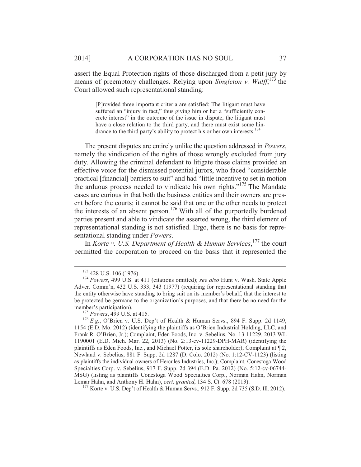assert the Equal Protection rights of those discharged from a petit jury by means of preemptory challenges. Relying upon *Singleton v. Wulff*, 173 the Court allowed such representational standing:

[P]rovided three important criteria are satisfied: The litigant must have suffered an "injury in fact," thus giving him or her a "sufficiently concrete interest" in the outcome of the issue in dispute, the litigant must have a close relation to the third party, and there must exist some hindrance to the third party's ability to protect his or her own interests.<sup>174</sup>

The present disputes are entirely unlike the question addressed in *Powers*, namely the vindication of the rights of those wrongly excluded from jury duty. Allowing the criminal defendant to litigate those claims provided an effective voice for the dismissed potential jurors, who faced "considerable practical [financial] barriers to suit" and had "little incentive to set in motion the arduous process needed to vindicate his own rights."<sup>175</sup> The Mandate cases are curious in that both the business entities and their owners are present before the courts; it cannot be said that one or the other needs to protect the interests of an absent person.<sup>176</sup> With all of the purportedly burdened parties present and able to vindicate the asserted wrong, the third element of representational standing is not satisfied. Ergo, there is no basis for representational standing under *Powers*.

In *Korte v. U.S. Department of Health & Human Services*, 177 the court permitted the corporation to proceed on the basis that it represented the

<sup>177</sup> Korte v. U.S. Dep't of Health & Human Servs., 912 F. Supp. 2d 735 (S.D. Ill. 2012).

 <sup>173 428</sup> U.S. 106 (1976). 174 *Powers*, 499 U.S. at 411 (citations omitted); *see also* Hunt v. Wash. State Apple Adver. Comm'n, 432 U.S. 333, 343 (1977) (requiring for representational standing that the entity otherwise have standing to bring suit on its member's behalf, that the interest to be protected be germane to the organization's purposes, and that there be no need for the member's participation).<br><sup>175</sup> *Powers*, 499 U.S. at 415.<br><sup>176</sup> *E.g.*, O'Brien v. U.S. Dep't of Health & Human Servs., 894 F. Supp. 2d 1149,

<sup>1154 (</sup>E.D. Mo. 2012) (identifying the plaintiffs as O'Brien Industrial Holding, LLC, and Frank R. O'Brien, Jr.); Complaint, Eden Foods, Inc. v. Sebelius, No. 13-11229, 2013 WL 1190001 (E.D. Mich. Mar. 22, 2013) (No. 2:13-cv-11229-DPH-MAR) (identifying the plaintiffs as Eden Foods, Inc., and Michael Potter, its sole shareholder); Complaint at ¶ 2, Newland v. Sebelius, 881 F. Supp. 2d 1287 (D. Colo. 2012) (No. 1:12-CV-1123) (listing as plaintiffs the individual owners of Hercules Industries, Inc.); Complaint, Conestoga Wood Specialties Corp. v. Sebelius, 917 F. Supp. 2d 394 (E.D. Pa. 2012) (No. 5:12-cv-06744- MSG) (listing as plaintiffs Conestoga Wood Specialties Corp., Norman Hahn, Norman Lemar Hahn, and Anthony H. Hahn), cert. granted, 134 S. Ct. 678 (2013).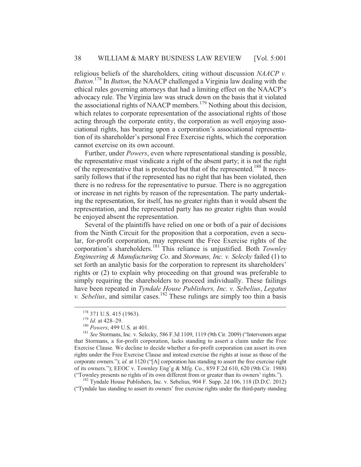religious beliefs of the shareholders, citing without discussion *NAACP v. Button*. 178 In *Button*, the NAACP challenged a Virginia law dealing with the ethical rules governing attorneys that had a limiting effect on the NAACP's advocacy rule. The Virginia law was struck down on the basis that it violated the associational rights of NAACP members.<sup>179</sup> Nothing about this decision, which relates to corporate representation of the associational rights of those acting through the corporate entity, the corporation as well enjoying associational rights, has bearing upon a corporation's associational representation of its shareholder's personal Free Exercise rights, which the corporation cannot exercise on its own account.

Further, under *Powers*, even where representational standing is possible, the representative must vindicate a right of the absent party; it is not the right of the representative that is protected but that of the represented.<sup>180</sup> It necessarily follows that if the represented has no right that has been violated, then there is no redress for the representative to pursue. There is no aggregation or increase in net rights by reason of the representation. The party undertaking the representation, for itself, has no greater rights than it would absent the representation, and the represented party has no greater rights than would be enjoyed absent the representation.

Several of the plaintiffs have relied on one or both of a pair of decisions from the Ninth Circuit for the proposition that a corporation, even a secular, for-profit corporation, may represent the Free Exercise rights of the corporation's shareholders.181 This reliance is unjustified. Both *Townley Engineering & Manufacturing Co*. and *Stormans, Inc. v. Selecky* failed (1) to set forth an analytic basis for the corporation to represent its shareholders' rights or (2) to explain why proceeding on that ground was preferable to simply requiring the shareholders to proceed individually. These failings have been repeated in *Tyndale House Publishers, Inc. v. Sebelius*, *Legatus v. Sebelius*, and similar cases.<sup>182</sup> These rulings are simply too thin a basis

("Tyndale has standing to assert its owners' free exercise rights under the third-party standing

<sup>178 371</sup> U.S. 415 (1963).<br><sup>179</sup> *Id.* at 428–29.<br><sup>180</sup> *Powers*, 499 U.S. at 401.<br><sup>181</sup> *See* Stormans, Inc. v. Selecky, 586 F.3d 1109, 1119 (9th Cir. 2009) ("Intervenors argue that Stormans, a for-profit corporation, lacks standing to assert a claim under the Free Exercise Clause. We decline to decide whether a for-profit corporation can assert its own rights under the Free Exercise Clause and instead exercise the rights at issue as those of the corporate owners."); *id.* at 1120 ("[A] corporation has standing to assert the free exercise right of its owners."); EEOC v. Townley Eng'g & Mfg. Co., 859 F.2d 610, 620 (9th Cir. 1988) ("Townley presents no rights of its own different from or greater than its owners' rights."). 182 Tyndale House Publishers, Inc. v. Sebelius, 904 F. Supp. 2d 106, 118 (D.D.C. 2012)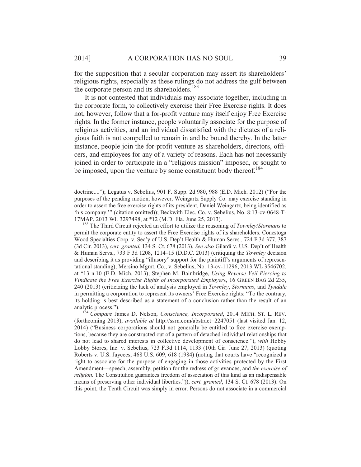$\overline{a}$ 

for the supposition that a secular corporation may assert its shareholders' religious rights, especially as these rulings do not address the gulf between the corporate person and its shareholders.<sup>183</sup>

It is not contested that individuals may associate together, including in the corporate form, to collectively exercise their Free Exercise rights. It does not, however, follow that a for-profit venture may itself enjoy Free Exercise rights. In the former instance, people voluntarily associate for the purpose of religious activities, and an individual dissatisfied with the dictates of a religious faith is not compelled to remain in and be bound thereby. In the latter instance, people join the for-profit venture as shareholders, directors, officers, and employees for any of a variety of reasons. Each has not necessarily joined in order to participate in a "religious mission" imposed, or sought to be imposed, upon the venture by some constituent body thereof.<sup>184</sup>

permit the corporate entity to assert the Free Exercise rights of its shareholders. Conestoga Wood Specialties Corp. v. Sec'y of U.S. Dep't Health & Human Servs., 724 F.3d 377, 387 (3d Cir. 2013), *cert. granted*, 134 S. Ct. 678 (2013). *See also* Gilardi v. U.S. Dep't of Health & Human Servs., 733 F.3d 1208, 1214–15 (D.D.C. 2013) (critiquing the *Townley* decision and describing it as providing "illusory" support for the plaintiff's arguments of representational standing); Mersino Mgmt. Co., v. Sebelius, No. 13-cv-11296, 2013 WL 3546702, at \*13 n.10 (E.D. Mich. 2013); Stephen M. Bainbridge, *Using Reverse Veil Piercing to Vindicate the Free Exercise Rights of Incorporated Employer*s, 16 GREEN BAG 2d 235, 240 (2013) (criticizing the lack of analysis employed in *Townley*, *Stormans*, and *Tyndale*  in permitting a corporation to represent its owners' Free Exercise rights: "To the contrary, its holding is best described as a statement of a conclusion rather than the result of an

analytic process."). 184 *Compare* James D. Nelson, *Conscience, Incorporated*, 2014 MICH. ST. L. REV. (forthcoming 2013), *available at* http://ssrn.com/abstract=2247051 (last visited Jan. 12, 2014) ("Business corporations should not generally be entitled to free exercise exemptions, because they are constructed out of a pattern of detached individual relationships that do not lead to shared interests in collective development of conscience."), *with* Hobby Lobby Stores, Inc. v. Sebelius, 723 F.3d 1114, 1133 (10th Cir. June 27, 2013) (quoting Roberts v. U.S. Jaycees, 468 U.S. 609, 618 (1984) (noting that courts have "recognized a right to associate for the purpose of engaging in those activities protected by the First Amendment—speech, assembly, petition for the redress of grievances, and *the exercise of religion*. The Constitution guarantees freedom of association of this kind as an indispensable means of preserving other individual liberties.")), *cert. granted*, 134 S. Ct. 678 (2013). On this point, the Tenth Circuit was simply in error. Persons do not associate in a commercial

doctrine...."); Legatus v. Sebelius, 901 F. Supp. 2d 980, 988 (E.D. Mich. 2012) ("For the purposes of the pending motion, however, Weingartz Supply Co. may exercise standing in order to assert the free exercise rights of its president, Daniel Weingartz, being identified as 'his company.'" (citation omitted)); Beckwith Elec. Co. v. Sebelius, No. 8:13-cv-0648-T-17MAP, 2013 WL 3297498, at \*12 (M.D. Fla. June 25, 2013). 183 The Third Circuit rejected an effort to utilize the reasoning of *Townley*/*Stormans* to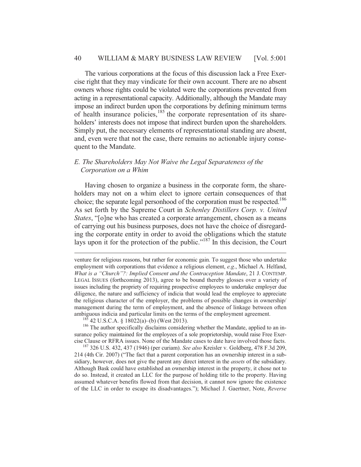The various corporations at the focus of this discussion lack a Free Exercise right that they may vindicate for their own account. There are no absent owners whose rights could be violated were the corporations prevented from acting in a representational capacity. Additionally, although the Mandate may impose an indirect burden upon the corporations by defining minimum terms of health insurance policies,<sup>185</sup> the corporate representation of its shareholders' interests does not impose that indirect burden upon the shareholders. Simply put, the necessary elements of representational standing are absent, and, even were that not the case, there remains no actionable injury consequent to the Mandate.

# *E. The Shareholders May Not Waive the Legal Separateness of the Corporation on a Whim*

Having chosen to organize a business in the corporate form, the shareholders may not on a whim elect to ignore certain consequences of that choice; the separate legal personhood of the corporation must be respected.<sup>186</sup> As set forth by the Supreme Court in *Schenley Distillers Corp. v. United States*, "[o]ne who has created a corporate arrangement, chosen as a means of carrying out his business purposes, does not have the choice of disregarding the corporate entity in order to avoid the obligations which the statute lays upon it for the protection of the public."187 In this decision, the Court

 $\overline{a}$ 

surance policy maintained for the employees of a sole proprietorship, would raise Free Exercise Clause or RFRA issues. None of the Mandate cases to date have involved those facts. 187 326 U.S. 432, 437 (1946) (per curiam). *See also* Kreisler v. Goldberg, 478 F.3d 209,

214 (4th Cir. 2007) ("The fact that a parent corporation has an ownership interest in a subsidiary, however, does not give the parent any direct interest in the *assets* of the subsidiary. Although Bask could have established an ownership interest in the property, it chose not to do so. Instead, it created an LLC for the purpose of holding title to the property. Having assumed whatever benefits flowed from that decision, it cannot now ignore the existence of the LLC in order to escape its disadvantages."); Michael J. Gaertner, Note, *Reverse* 

venture for religious reasons, but rather for economic gain. To suggest those who undertake employment with corporations that evidence a religious element, *e.g*., Michael A. Helfand, *What is a "Church"?: Implied Consent and the Contraception Mandate*, 21 J. CONTEMP. LEGAL ISSUES (forthcoming 2013), agree to be bound thereby glosses over a variety of issues including the propriety of requiring prospective employees to undertake employer due diligence, the nature and sufficiency of indicia that would lead the employee to appreciate the religious character of the employer, the problems of possible changes in ownership/ management during the term of employment, and the absence of linkage between often ambiguous indicia and particular limits on the terms of the employment agreement.<br><sup>185</sup> 42 U.S.C.A. § 18022(a)–(b) (West 2013).<br><sup>186</sup> The author specifically disclaims considering whether the Mandate, applied to an in-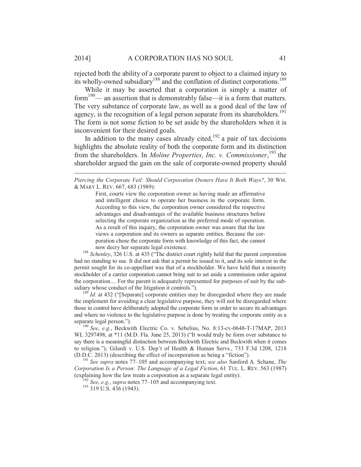rejected both the ability of a corporate parent to object to a claimed injury to its wholly-owned subsidiary<sup>188</sup> and the conflation of distinct corporations.<sup>189</sup>

While it may be asserted that a corporation is simply a matter of form<sup>190</sup>— an assertion that is demonstrably false—it is a form that matters. The very substance of corporate law, as well as a good deal of the law of agency, is the recognition of a legal person separate from its shareholders.<sup>191</sup> The form is not some fiction to be set aside by the shareholders when it is inconvenient for their desired goals.

In addition to the many cases already cited, $192$  a pair of tax decisions highlights the absolute reality of both the corporate form and its distinction from the shareholders. In *Moline Properties, Inc. v. Commissioner*, 193 the shareholder argued the gain on the sale of corporate-owned property should

First, courts view the corporation owner as having made an affirmative and intelligent choice to operate her business in the corporate form. According to this view, the corporation owner considered the respective advantages and disadvantages of the available business structures before selecting the corporate organization as the preferred mode of operation. As a result of this inquiry, the corporation owner was aware that the law views a corporation and its owners as separate entities. Because the corporation chose the corporate form with knowledge of this fact, she cannot

now decry her separate legal existence. 188 *Schenley*, 326 U.S. at 435 ("The district court rightly held that the parent corporation had no standing to sue. It did not ask that a permit be issued to it, and its sole interest in the permit sought for its co-appellant was that of a stockholder. We have held that a minority stockholder of a carrier corporation cannot bring suit to set aside a commission order against the corporation.... For the parent is adequately represented for purposes of suit by the subsidiary whose conduct of the litigation it controls.").<br><sup>189</sup> *Id.* at 432 ("[Separate] corporate entities may be disregarded where they are made

the implement for avoiding a clear legislative purpose, they will not be disregarded where those in control have deliberately adopted the corporate form in order to secure its advantages and where no violence to the legislative purpose is done by treating the corporate entity as a separate legal person.").

<sup>190</sup> See, e.g., Beckwith Electric Co. v. Sebelius, No. 8:13-cv-0648-T-17MAP, 2013 WL 3297498, at \*11 (M.D. Fla. June 25, 2013) ("It would truly be form over substance to say there is a meaningful distinction between Beckwith Electric and Beckwith when it comes to religion."); Gilardi v. U.S. Dep't of Health & Human Servs., 733 F.3d 1208, 1218 (D.D.C. 2013) (describing the effect of incorporation as being a "fiction").

<sup>191</sup> See supra notes 77–105 and accompanying text; *see also* Sanford A. Schane, *The Corporation Is a Person: The Language of a Legal Fiction*, 61 TUL. L. REV. 563 (1987) (explaining how the law treats a corporation as a separate legal entity). 192 *See*, *e.g.*, *supra* notes 77–105 and accompanying text. 193 319 U.S. 436 (1943).

 $\overline{a}$ 

*Piercing the Corporate Veil: Should Corporation Owners Have It Both Ways?*, 30 WM. & MARY L. REV. 667, 683 (1989):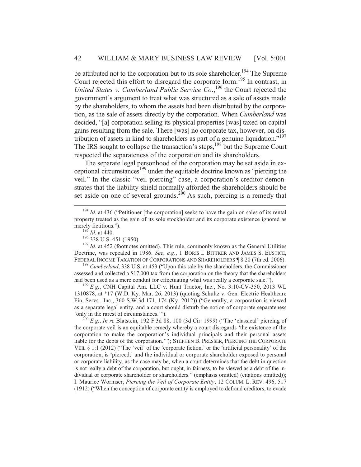be attributed not to the corporation but to its sole shareholder.<sup>194</sup> The Supreme Court rejected this effort to disregard the corporate form.<sup>195</sup> In contrast, in United States v. Cumberland Public Service Co.,<sup>196</sup> the Court rejected the government's argument to treat what was structured as a sale of assets made by the shareholders, to whom the assets had been distributed by the corporation, as the sale of assets directly by the corporation. When *Cumberland* was decided, "[a] corporation selling its physical properties [was] taxed on capital gains resulting from the sale. There [was] no corporate tax, however, on distribution of assets in kind to shareholders as part of a genuine liquidation."197 The IRS sought to collapse the transaction's steps,<sup>198</sup> but the Supreme Court respected the separateness of the corporation and its shareholders.

The separate legal personhood of the corporation may be set aside in exceptional circumstances<sup>199</sup> under the equitable doctrine known as "piercing the veil." In the classic "veil piercing" case, a corporation's creditor demonstrates that the liability shield normally afforded the shareholders should be set aside on one of several grounds.<sup>200</sup> As such, piercing is a remedy that

assessed and collected a \$17,000 tax from the corporation on the theory that the shareholders

had been used as a mere conduit for effectuating what was really a corporate sale."). <sup>199</sup> *E.g.*, CNH Capital Am. LLC v. Hunt Tractor, Inc., No. 3:10-CV-350, 2013 WL 1310878, at \*17 (W.D. Ky. Mar. 26, 2013) (quoting Schultz v. Gen. Electric Healthcare Fin. Servs., Inc., 360 S.W.3d 171, 174 (Ky. 2012)) ("Generally, a corporation is viewed as a separate legal entity, and a court should disturb the notion of corporate separateness 'only in the rarest of circumstances.'").<br><sup>200</sup> *E.g.*, *In re* Blatstein, 192 F.3d 88, 100 (3d Cir. 1999) ("The 'classical' piercing of

the corporate veil is an equitable remedy whereby a court disregards 'the existence of the corporation to make the corporation's individual principals and their personal assets liable for the debts of the corporation.'"); STEPHEN B. PRESSER, PIERCING THE CORPORATE VEIL § 1:1 (2012) ("The 'veil' of the 'corporate fiction,' or the 'artificial personality' of the corporation, is 'pierced,' and the individual or corporate shareholder exposed to personal or corporate liability, as the case may be, when a court determines that the debt in question is not really a debt of the corporation, but ought, in fairness, to be viewed as a debt of the individual or corporate shareholder or shareholders." (emphasis omitted) (citations omitted)); I. Maurice Wormser, *Piercing the Veil of Corporate Entity*, 12 COLUM. L. REV. 496, 517 (1912) ("When the conception of corporate entity is employed to defraud creditors, to evade

<sup>&</sup>lt;sup>194</sup> *Id.* at 436 ("Petitioner [the corporation] seeks to have the gain on sales of its rental property treated as the gain of its sole stockholder and its corporate existence ignored as merely fictitious.").<br><sup>195</sup> *Id.* at 440.<br><sup>196</sup> 338 U.S. 451 (1950).<br><sup>197</sup> *Id.* at 452 (footnotes omitted). This rule, commonly known as the General Utilities

Doctrine, was repealed in 1986. *See*, *e.g*., 1 BORIS I. BITTKER AND JAMES S. EUSTICE, FEDERAL INCOME TAXATION OF CORPORATIONS AND SHAREHOLDERS ¶ 8.20 (7th ed. 2006). 198 *Cumberland*, 338 U.S. at 453 ("Upon this sale by the shareholders, the Commissioner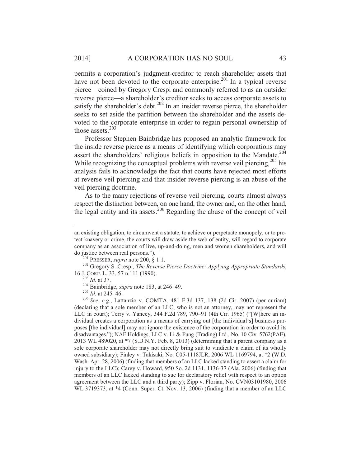permits a corporation's judgment-creditor to reach shareholder assets that have not been devoted to the corporate enterprise.<sup>201</sup> In a typical reverse pierce—coined by Gregory Crespi and commonly referred to as an outsider reverse pierce—a shareholder's creditor seeks to access corporate assets to satisfy the shareholder's debt.<sup>202</sup> In an insider reverse pierce, the shareholder seeks to set aside the partition between the shareholder and the assets devoted to the corporate enterprise in order to regain personal ownership of those assets. $203$ 

Professor Stephen Bainbridge has proposed an analytic framework for the inside reverse pierce as a means of identifying which corporations may assert the shareholders' religious beliefs in opposition to the Mandate.<sup>204</sup> While recognizing the conceptual problems with reverse veil piercing,  $^{205}$  his analysis fails to acknowledge the fact that courts have rejected most efforts at reverse veil piercing and that insider reverse piercing is an abuse of the veil piercing doctrine.

As to the many rejections of reverse veil piercing, courts almost always respect the distinction between, on one hand, the owner and, on the other hand, the legal entity and its assets.<sup>206</sup> Regarding the abuse of the concept of veil

do justice between real persons.").<br><sup>201</sup> PRESSER, *supra* note 200, § 1:1.<br><sup>202</sup> Gregory S. Crespi, *The Reverse Pierce Doctrine: Applying Appropriate Standards*,<br>16 J. CORP. L. 33, 57 n.111 (1990).

 $\overline{a}$ 

an existing obligation, to circumvent a statute, to achieve or perpetuate monopoly, or to protect knavery or crime, the courts will draw aside the web of entity, will regard to corporate company as an association of live, up-and-doing, men and women shareholders, and will

<sup>&</sup>lt;sup>203</sup> *Id.* at 37.<br><sup>204</sup> Bainbridge, *supra* note 183, at 246–49.<br><sup>205</sup> *Id.* at 245–46.<br><sup>205</sup> *See*, *e.g.*, Lattanzio v. COMTA, 481 F.3d 137, 138 (2d Cir. 2007) (per curiam) (declaring that a sole member of an LLC, who is not an attorney, may not represent the LLC in court); Terry v. Yancey, 344 F.2d 789, 790–91 (4th Cir. 1965) ("[W]here an individual creates a corporation as a means of carrying out [the individual's] business purposes [the individual] may not ignore the existence of the corporation in order to avoid its disadvantages."); NAF Holdings, LLC v. Li & Fung (Trading) Ltd., No. 10 Civ. 5762(PAE), 2013 WL 489020, at \*7 (S.D.N.Y. Feb. 8, 2013) (determining that a parent company as a sole corporate shareholder may not directly bring suit to vindicate a claim of its wholly owned subsidiary); Finley v. Takisaki, No. C05-1118JLR, 2006 WL 1169794, at \*2 (W.D. Wash. Apr. 28, 2006) (finding that members of an LLC lacked standing to assert a claim for injury to the LLC); Carey v. Howard, 950 So. 2d 1131, 1136-37 (Ala. 2006) (finding that members of an LLC lacked standing to sue for declaratory relief with respect to an option agreement between the LLC and a third party); Zipp v. Florian, No. CVN03101980, 2006 WL 3719373, at \*4 (Conn. Super. Ct. Nov. 13, 2006) (finding that a member of an LLC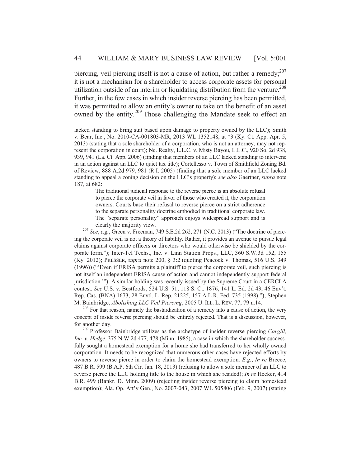piercing, veil piercing itself is not a cause of action, but rather a remedy; $^{207}$ it is not a mechanism for a shareholder to access corporate assets for personal utilization outside of an interim or liquidating distribution from the venture.<sup>208</sup> Further, in the few cases in which insider reverse piercing has been permitted, it was permitted to allow an entity's owner to take on the benefit of an asset owned by the entity.<sup>209</sup> Those challenging the Mandate seek to effect an

 $\overline{a}$ 

The traditional judicial response to the reverse pierce is an absolute refusal to pierce the corporate veil in favor of those who created it, the corporation owners. Courts base their refusal to reverse pierce on a strict adherence to the separate personality doctrine embodied in traditional corporate law. The "separate personality" approach enjoys widespread support and is

clearly the majority view. 207 *See*, *e.g.*, Green v. Freeman, 749 S.E.2d 262, 271 (N.C. 2013) ("The doctrine of piercing the corporate veil is not a theory of liability. Rather, it provides an avenue to pursue legal claims against corporate officers or directors who would otherwise be shielded by the corporate form."); Inter-Tel Techs., Inc. v. Linn Station Props*.*, LLC, 360 S.W.3d 152, 155 (Ky. 2012); PRESSER, *supra* note 200, § 3:2 (quoting Peacock v. Thomas, 516 U.S. 349 (1996)) ("'Even if ERISA permits a plaintiff to pierce the corporate veil, such piercing is not itself an independent ERISA cause of action and cannot independently support federal jurisdiction.'"). A similar holding was recently issued by the Supreme Court in a CERCLA contest. *See* U.S. v. Bestfoods, 524 U.S. 51, 118 S. Ct. 1876, 141 L. Ed. 2d 43, 46 Env't. Rep. Cas. (BNA) 1673, 28 Envtl. L. Rep. 21225, 157 A.L.R. Fed. 735 (1998)."); Stephen M. Bainbridge, *Abolishing LLC Veil Piercing*, 2005 U. ILL. L. REV. 77, 79 n.14. 208 For that reason, namely the bastardization of a remedy into a cause of action, the very

concept of inside reverse piercing should be entirely rejected. That is a discussion, however, for another day. 209 Professor Bainbridge utilizes as the archetype of insider reverse piercing *Cargill,* 

*Inc. v. Hedge*, 375 N.W.2d 477, 478 (Minn. 1985), a case in which the shareholder successfully sought a homestead exemption for a home she had transferred to her wholly owned corporation. It needs to be recognized that numerous other cases have rejected efforts by owners to reverse pierce in order to claim the homestead exemption. *E.g.*, *In re* Breece, 487 B.R. 599 (B.A.P. 6th Cir. Jan. 18, 2013) (refusing to allow a sole member of an LLC to reverse pierce the LLC holding title to the house in which she resided); *In re* Hecker, 414 B.R. 499 (Bankr. D. Minn. 2009) (rejecting insider reverse piercing to claim homestead exemption); Ala. Op. Att'y Gen., No. 2007-043, 2007 WL 505806 (Feb. 9, 2007) (stating

lacked standing to bring suit based upon damage to property owned by the LLC); Smith v. Bear, Inc., No. 2010-CA-001803-MR, 2013 WL 1352148, at \*3 (Ky. Ct. App. Apr. 5, 2013) (stating that a sole shareholder of a corporation, who is not an attorney, may not represent the corporation in court); Ne. Realty, L.L.C. v. Misty Bayou, L.L.C., 920 So. 2d 938, 939, 941 (La. Ct. App. 2006) (finding that members of an LLC lacked standing to intervene in an action against an LLC to quiet tax title); Cortellesso v. Town of Smithfield Zoning Bd. of Review, 888 A.2d 979, 981 (R.I. 2005) (finding that a sole member of an LLC lacked standing to appeal a zoning decision on the LLC's property); *see also* Gaertner, *supra* note 187, at 682: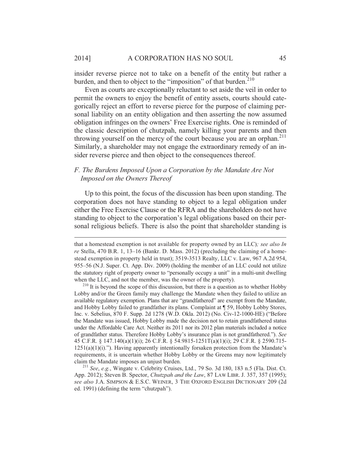insider reverse pierce not to take on a benefit of the entity but rather a burden, and then to object to the "imposition" of that burden. $210$ 

Even as courts are exceptionally reluctant to set aside the veil in order to permit the owners to enjoy the benefit of entity assets, courts should categorically reject an effort to reverse pierce for the purpose of claiming personal liability on an entity obligation and then asserting the now assumed obligation infringes on the owners' Free Exercise rights. One is reminded of the classic description of chutzpah, namely killing your parents and then throwing yourself on the mercy of the court because you are an orphan. $211$ Similarly, a shareholder may not engage the extraordinary remedy of an insider reverse pierce and then object to the consequences thereof.

# *F. The Burdens Imposed Upon a Corporation by the Mandate Are Not Imposed on the Owners Thereof*

Up to this point, the focus of the discussion has been upon standing. The corporation does not have standing to object to a legal obligation under either the Free Exercise Clause or the RFRA and the shareholders do not have standing to object to the corporation's legal obligations based on their personal religious beliefs. There is also the point that shareholder standing is

 $\overline{a}$ 

that a homestead exemption is not available for property owned by an LLC)*; see also In re* Stella, 470 B.R. 1, 13–16 (Bankr. D. Mass. 2012) (precluding the claiming of a homestead exemption in property held in trust); 3519-3513 Realty, LLC v. Law, 967 A.2d 954, 955–56 (N.J. Super. Ct. App. Div. 2009) (holding the member of an LLC could not utilize the statutory right of property owner to "personally occupy a unit" in a multi-unit dwelling when the LLC, and not the member, was the owner of the property).<br><sup>210</sup> It is beyond the scope of this discussion, but there is a question as to whether Hobby

Lobby and/or the Green family may challenge the Mandate when they failed to utilize an available regulatory exemption. Plans that are "grandfathered" are exempt from the Mandate, and Hobby Lobby failed to grandfather its plans. Complaint at ¶ 59, Hobby Lobby Stores, Inc. v. Sebelius, 870 F. Supp. 2d 1278 (W.D. Okla. 2012) (No. Civ-12-1000-HE) ("Before the Mandate was issued, Hobby Lobby made the decision not to retain grandfathered status under the Affordable Care Act. Neither its 2011 nor its 2012 plan materials included a notice of grandfather status. Therefore Hobby Lobby's insurance plan is not grandfathered."). *See* 45 C.F.R. § 147.140(a)(1)(i); 26 C.F.R. § 54.9815-1251T(a)(1)(i); 29 C.F.R. § 2590.715-  $1251(a)(1)(i)$ ."). Having apparently intentionally forsaken protection from the Mandate's requirements, it is uncertain whether Hobby Lobby or the Greens may now legitimately claim the Mandate imposes an unjust burden. 211 *See*, *e.g.*, Wingate v. Celebrity Cruises, Ltd., 79 So. 3d 180, 183 n.5 (Fla. Dist. Ct.

App. 2012); Steven B. Spector, *Chutzpah and the Law*, 87 LAW LIBR. J. 357, 357 (1995); *see also* J.A. SIMPSON & E.S.C. WEINER, 3 THE OXFORD ENGLISH DICTIONARY 209 (2d ed. 1991) (defining the term "chutzpah").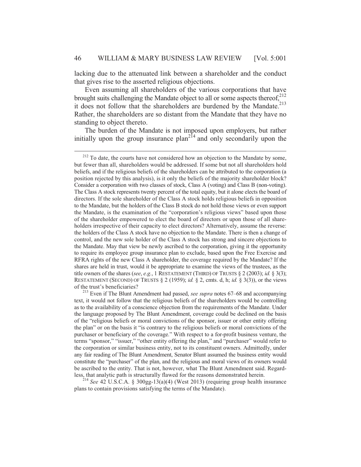lacking due to the attenuated link between a shareholder and the conduct that gives rise to the asserted religious objections.

Even assuming all shareholders of the various corporations that have brought suits challenging the Mandate object to all or some aspects thereof,<sup>212</sup> it does not follow that the shareholders are burdened by the Mandate.<sup>213</sup> Rather, the shareholders are so distant from the Mandate that they have no standing to object thereto.

The burden of the Mandate is not imposed upon employers, but rather initially upon the group insurance  $plan^{214}$  and only secondarily upon the

plans to contain provisions satisfying the terms of the Mandate).

<sup>&</sup>lt;sup>212</sup> To date, the courts have not considered how an objection to the Mandate by some, but fewer than all, shareholders would be addressed. If some but not all shareholders hold beliefs, and if the religious beliefs of the shareholders can be attributed to the corporation (a position rejected by this analysis), is it only the beliefs of the majority shareholder block? Consider a corporation with two classes of stock, Class A (voting) and Class B (non-voting). The Class A stock represents twenty percent of the total equity, but it alone elects the board of directors. If the sole shareholder of the Class A stock holds religious beliefs in opposition to the Mandate, but the holders of the Class B stock do not hold those views or even support the Mandate, is the examination of the "corporation's religious views" based upon those of the shareholder empowered to elect the board of directors or upon those of all shareholders irrespective of their capacity to elect directors? Alternatively, assume the reverse: the holders of the Class A stock have no objection to the Mandate. There is then a change of control, and the new sole holder of the Class A stock has strong and sincere objections to the Mandate. May that view be newly ascribed to the corporation, giving it the opportunity to require its employee group insurance plan to exclude, based upon the Free Exercise and RFRA rights of the new Class A shareholder, the coverage required by the Mandate? If the shares are held in trust, would it be appropriate to examine the views of the trustees, as the title owners of the shares (*see*, *e.g.*, 1 RESTATEMENT (THIRD) OF TRUSTS § 2 (2003); *id.* § 3(3); RESTATEMENT (SECOND) OF TRUSTS  $\S 2$  (1959); *id.*  $\S 2$ , cmts. d, h; *id.*  $\S 3(3)$ ), or the views

of the trust's beneficiaries? 213 Even if The Blunt Amendment had passed, *see supra* notes 67–68 and accompanying text, it would not follow that the religious beliefs of the shareholders would be controlling as to the availability of a conscience objection from the requirements of the Mandate. Under the language proposed by The Blunt Amendment, coverage could be declined on the basis of the "religious beliefs or moral convictions of the sponsor, issuer or other entity offering the plan" or on the basis it "is contrary to the religious beliefs or moral convictions of the purchaser or beneficiary of the coverage." With respect to a for-profit business venture, the terms "sponsor," "issuer," "other entity offering the plan," and "purchaser" would refer to the corporation or similar business entity, not to its constituent owners. Admittedly, under any fair reading of The Blunt Amendment, Senator Blunt assumed the business entity would constitute the "purchaser" of the plan, and the religious and moral views of its owners would be ascribed to the entity. That is not, however, what The Blunt Amendment said. Regardless, that analytic path is structurally flawed for the reasons demonstrated herein. 214 *See* 42 U.S.C.A. § 300gg-13(a)(4) (West 2013) (requiring group health insurance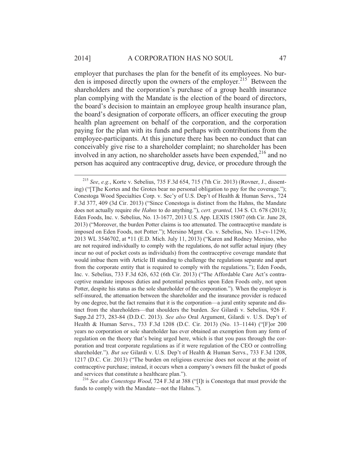employer that purchases the plan for the benefit of its employees. No burden is imposed directly upon the owners of the employer.<sup>215</sup> Between the shareholders and the corporation's purchase of a group health insurance plan complying with the Mandate is the election of the board of directors, the board's decision to maintain an employee group health insurance plan, the board's designation of corporate officers, an officer executing the group health plan agreement on behalf of the corporation, and the corporation paying for the plan with its funds and perhaps with contributions from the employee-participants. At this juncture there has been no conduct that can conceivably give rise to a shareholder complaint; no shareholder has been involved in any action, no shareholder assets have been expended,  $2^{16}$  and no person has acquired any contraceptive drug, device, or procedure through the

 <sup>215</sup> *See*, *e.g.*, Korte v. Sebelius, 735 F.3d 654, 715 (7th Cir. 2013) (Rovner, J., dissenting) ("[T]he Kortes and the Grotes bear no personal obligation to pay for the coverage."); Conestoga Wood Specialties Corp. v. Sec'y of U.S. Dep't of Health & Human Servs., 724 F.3d 377, 409 (3d Cir. 2013) ("Since Conestoga is distinct from the Hahns, the Mandate does not actually require *the Hahns* to do anything."), *cert. granted*, 134 S. Ct. 678 (2013); Eden Foods, Inc. v. Sebelius, No. 13-1677, 2013 U.S. App. LEXIS 15807 (6th Cir. June 28, 2013) ("Moreover, the burden Potter claims is too attenuated. The contraceptive mandate is imposed on Eden Foods, not Potter."); Mersino Mgmt. Co. v. Sebelius, No. 13-cv-11296, 2013 WL 3546702, at \*11 (E.D. Mich. July 11, 2013) ("Karen and Rodney Mersino, who are not required individually to comply with the regulations, do not suffer actual injury (they incur no out of pocket costs as individuals) from the contraceptive coverage mandate that would imbue them with Article III standing to challenge the regulations separate and apart from the corporate entity that is required to comply with the regulations."); Eden Foods, Inc. v. Sebelius, 733 F.3d 626, 632 (6th Cir. 2013) ("The Affordable Care Act's contraceptive mandate imposes duties and potential penalties upon Eden Foods only, not upon Potter, despite his status as the sole shareholder of the corporation."). When the employer is self-insured, the attenuation between the shareholder and the insurance provider is reduced by one degree, but the fact remains that it is the corporation—a jural entity separate and distinct from the shareholders—that shoulders the burden. *See* Gilardi v. Sebelius, 926 F. Supp.2d 273, 283-84 (D.D.C. 2013). *See also* Oral Argument, Gilardi v. U.S. Dep't of Health & Human Servs., 733 F.3d 1208 (D.C. Cir. 2013) (No. 13–1144) ("[F]or 200 years no corporation or sole shareholder has ever obtained an exemption from any form of regulation on the theory that's being urged here, which is that you pass through the corporation and treat corporate regulations as if it were regulation of the CEO or controlling shareholder."). *But see* Gilardi v. U.S. Dep't of Health & Human Servs., 733 F.3d 1208, 1217 (D.C. Cir. 2013) ("The burden on religious exercise does not occur at the point of contraceptive purchase; instead, it occurs when a company's owners fill the basket of goods

and services that constitute a healthcare plan."). 216 *See also Conestoga Wood*, 724 F.3d at 388 ("[I]t is Conestoga that must provide the funds to comply with the Mandate—not the Hahns.").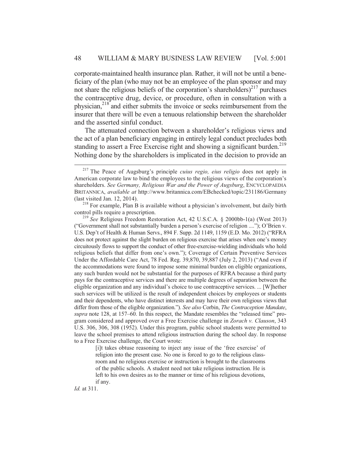corporate-maintained health insurance plan. Rather, it will not be until a beneficiary of the plan (who may not be an employee of the plan sponsor and may not share the religious beliefs of the corporation's shareholders)<sup>217</sup> purchases the contraceptive drug, device, or procedure, often in consultation with a physician,218 and either submits the invoice or seeks reimbursement from the insurer that there will be even a tenuous relationship between the shareholder and the asserted sinful conduct.

The attenuated connection between a shareholder's religious views and the act of a plan beneficiary engaging in entirely legal conduct precludes both standing to assert a Free Exercise right and showing a significant burden.<sup>219</sup> Nothing done by the shareholders is implicated in the decision to provide an

[i]t takes obtuse reasoning to inject any issue of the 'free exercise' of religion into the present case. No one is forced to go to the religious classroom and no religious exercise or instruction is brought to the classrooms of the public schools. A student need not take religious instruction. He is left to his own desires as to the manner or time of his religious devotions, if any.

*Id.* at 311.

 <sup>217</sup> The Peace of Augsburg's principle *cuius regio, eius religio* does not apply in American corporate law to bind the employees to the religious views of the corporation's shareholders. *See Germany, Religious War and the Power of Augsburg*, ENCYCLOPAEDIA BRITANNICA, *available at* http://www.britannica.com/EBchecked/topic/231186/Germany (last visited Jan. 12, 2014). <sup>218</sup> For example, Plan B is available without a physician's involvement, but daily birth

control pills require a prescription. 219 *See* Religious Freedom Restoration Act, 42 U.S.C.A. § 2000bb-1(a) (West 2013)

<sup>(&</sup>quot;Government shall not substantially burden a person's exercise of religion ...."); O'Brien v. U.S. Dep't of Health & Human Servs., 894 F. Supp. 2d 1149, 1159 (E.D. Mo. 2012) ("RFRA does not protect against the slight burden on religious exercise that arises when one's money circuitously flows to support the conduct of other free-exercise-wielding individuals who hold religious beliefs that differ from one's own."); Coverage of Certain Preventive Services Under the Affordable Care Act, 78 Fed. Reg. 39,870, 39,887 (July 2, 2013) ("And even if the accommodations were found to impose some minimal burden on eligible organizations, any such burden would not be substantial for the purposes of RFRA because a third party pays for the contraceptive services and there are multiple degrees of separation between the eligible organization and any individual's choice to use contraceptive services. ... [W]hether such services will be utilized is the result of independent choices by employees or students and their dependents, who have distinct interests and may have their own religious views that differ from those of the eligible organization."). *See also* Corbin, *The Contraception Mandate*, *supra* note 128, at 157–60. In this respect, the Mandate resembles the "released time" program considered and approved over a Free Exercise challenge in *Zorach v. Clauson*, 343 U.S. 306, 306, 308 (1952). Under this program, public school students were permitted to leave the school premises to attend religious instruction during the school day. In response to a Free Exercise challenge, the Court wrote: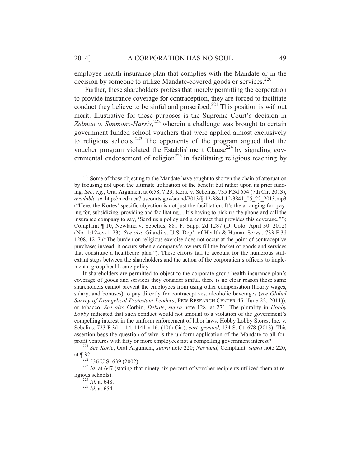employee health insurance plan that complies with the Mandate or in the decision by someone to utilize Mandate-covered goods or services.<sup>220</sup>

Further, these shareholders profess that merely permitting the corporation to provide insurance coverage for contraception, they are forced to facilitate conduct they believe to be sinful and proscribed.<sup>221</sup> This position is without merit. Illustrative for these purposes is the Supreme Court's decision in Zelman v. Simmons-Harris,<sup>222</sup> wherein a challenge was brought to certain government funded school vouchers that were applied almost exclusively to religious schools.<sup>223</sup> The opponents of the program argued that the voucher program violated the Establishment Clause<sup>224</sup> by signaling governmental endorsement of religion<sup>225</sup> in facilitating religious teaching by

If shareholders are permitted to object to the corporate group health insurance plan's coverage of goods and services they consider sinful, there is no clear reason those same shareholders cannot prevent the employees from using other compensation (hourly wages, salary, and bonuses) to pay directly for contraceptives, alcoholic beverages (*see Global Survey of Evangelical Protestant Leaders*, PEW RESEARCH CENTER 45 (June 22, 2011)), or tobacco. *See also* Corbin, *Debate*, *supra* note 128, at 271. The plurality in *Hobby Lobby* indicated that such conduct would not amount to a violation of the government's compelling interest in the uniform enforcement of labor laws. Hobby Lobby Stores, Inc. v. Sebelius, 723 F.3d 1114, 1141 n.16. (10th Cir.), *cert. granted*, 134 S. Ct. 678 (2013). This assertion begs the question of why is the uniform application of the Mandate to all for-

profit ventures with fifty or more employees not a compelling government interest?<br><sup>221</sup> *See Korte*, Oral Argument, *supra* note 220; *Newland*, Complaint, *supra* note 220, at ¶ 32.

 $\frac{1222}{222}$  536 U.S. 639 (2002).<br><sup>223</sup> *Id.* at 647 (stating that ninety-six percent of voucher recipients utilized them at religious schools). 224 *Id.* at 648. 225 *Id.* at 654.

<sup>&</sup>lt;sup>220</sup> Some of those objecting to the Mandate have sought to shorten the chain of attenuation by focusing not upon the ultimate utilization of the benefit but rather upon its prior funding. *See*, *e.g.*, Oral Argument at 6:58, 7:23, Korte v. Sebelius, 735 F.3d 654 (7th Cir. 2013), *available at* http://media.ca7.uscourts.gov/sound/2013/lj.12-3841.12-3841\_05\_22\_2013.mp3 ("Here, the Kortes' specific objection is not just the facilitation. It's the arranging for, paying for, subsidizing, providing and facilitating.... It's having to pick up the phone and call the insurance company to say, 'Send us a policy and a contract that provides this coverage.'"); Complaint ¶ 10, Newland v. Sebelius, 881 F. Supp. 2d 1287 (D. Colo. April 30, 2012) (No. 1:12-cv-1123). *See also* Gilardi v. U.S. Dep't of Health & Human Servs., 733 F.3d 1208, 1217 ("The burden on religious exercise does not occur at the point of contraceptive purchase; instead, it occurs when a company's owners fill the basket of goods and services that constitute a healthcare plan."). These efforts fail to account for the numerous stillextant steps between the shareholders and the action of the corporation's officers to implement a group health care policy.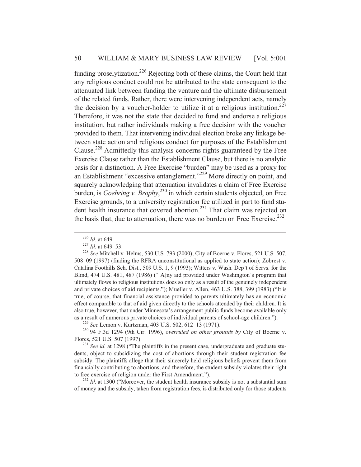funding proselytization.<sup>226</sup> Rejecting both of these claims, the Court held that any religious conduct could not be attributed to the state consequent to the attenuated link between funding the venture and the ultimate disbursement of the related funds. Rather, there were intervening independent acts, namely the decision by a voucher-holder to utilize it at a religious institution.<sup>227</sup> Therefore, it was not the state that decided to fund and endorse a religious institution, but rather individuals making a free decision with the voucher provided to them. That intervening individual election broke any linkage between state action and religious conduct for purposes of the Establishment Clause.228 Admittedly this analysis concerns rights guaranteed by the Free Exercise Clause rather than the Establishment Clause, but there is no analytic basis for a distinction. A Free Exercise "burden" may be used as a proxy for an Establishment "excessive entanglement."229 More directly on point, and squarely acknowledging that attenuation invalidates a claim of Free Exercise burden, is *Goehring v. Brophy*, 230 in which certain students objected, on Free Exercise grounds, to a university registration fee utilized in part to fund student health insurance that covered abortion.<sup>231</sup> That claim was rejected on the basis that, due to attenuation, there was no burden on Free Exercise.<sup>232</sup>

of money and the subsidy, taken from registration fees, is distributed only for those students

<sup>&</sup>lt;sup>226</sup> *Id.* at 649.<br><sup>227</sup> *Id.* at 649–53.<br><sup>228</sup> *See* Mitchell v. Helms, 530 U.S. 793 (2000); City of Boerne v. Flores, 521 U.S. 507, 508–09 (1997) (finding the RFRA unconstitutional as applied to state action); Zobrest v. Catalina Foothills Sch. Dist., 509 U.S. 1, 9 (1993); Witters v. Wash. Dep't of Servs. for the Blind, 474 U.S. 481, 487 (1986) ("[A]ny aid provided under Washington's program that ultimately flows to religious institutions does so only as a result of the genuinely independent and private choices of aid recipients."); Mueller v. Allen, 463 U.S. 388, 399 (1983) ("It is true, of course, that financial assistance provided to parents ultimately has an economic effect comparable to that of aid given directly to the schools attended by their children. It is also true, however, that under Minnesota's arrangement public funds become available only

as a result of numerous private choices of individual parents of school-age children.").<br>
<sup>229</sup> See Lemon v. Kurtzman, 403 U.S. 602, 612–13 (1971).<br>
<sup>230</sup> 94 F.3d 1294 (9th Cir. 1996), *overruled on other grounds by* City

<sup>&</sup>lt;sup>231</sup> See id. at 1298 ("The plaintiffs in the present case, undergraduate and graduate students, object to subsidizing the cost of abortions through their student registration fee subsidy. The plaintiffs allege that their sincerely held religious beliefs prevent them from financially contributing to abortions, and therefore, the student subsidy violates their right to free exercise of religion under the First Amendment.").<br><sup>232</sup> *Id.* at 1300 ("Moreover, the student health insurance subsidy is not a substantial sum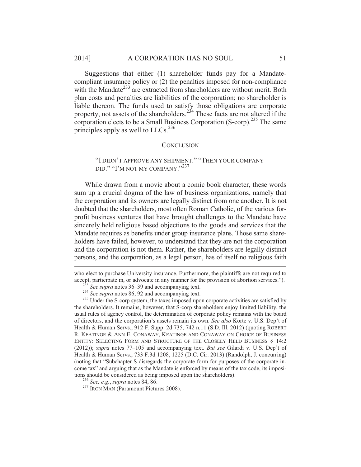#### 2014] A CORPORATION HAS NO SOUL 51

Suggestions that either (1) shareholder funds pay for a Mandatecompliant insurance policy or (2) the penalties imposed for non-compliance with the Mandate<sup>233</sup> are extracted from shareholders are without merit. Both plan costs and penalties are liabilities of the corporation; no shareholder is liable thereon. The funds used to satisfy those obligations are corporate property, not assets of the shareholders.<sup>234</sup> These facts are not altered if the corporation elects to be a Small Business Corporation (S-corp).<sup>235</sup> The same principles apply as well to  $LLCs$ <sup>236</sup>

#### **CONCLUSION**

"I DIDN'T APPROVE ANY SHIPMENT." "THEN YOUR COMPANY DID." "I'M NOT MY COMPANY."<sup>237</sup>

While drawn from a movie about a comic book character, these words sum up a crucial dogma of the law of business organizations, namely that the corporation and its owners are legally distinct from one another. It is not doubted that the shareholders, most often Roman Catholic, of the various forprofit business ventures that have brought challenges to the Mandate have sincerely held religious based objections to the goods and services that the Mandate requires as benefits under group insurance plans. Those same shareholders have failed, however, to understand that they are not the corporation and the corporation is not them. Rather, the shareholders are legally distinct persons, and the corporation, as a legal person, has of itself no religious faith

who elect to purchase University insurance. Furthermore, the plaintiffs are not required to accept, participate in, or advocate in any manner for the provision of abortion services.").<br>
<sup>233</sup> See supra notes 36–39 and accompanying text.<br>
<sup>234</sup> See supra notes 86, 92 and accompanying text.<br>
<sup>235</sup> Under the S-corp

 $\overline{a}$ 

the shareholders. It remains, however, that S-corp shareholders enjoy limited liability, the usual rules of agency control, the determination of corporate policy remains with the board of directors, and the corporation's assets remain its own. *See also* Korte v. U.S. Dep't of Health & Human Servs., 912 F. Supp. 2d 735, 742 n.11 (S.D. Ill. 2012) (quoting ROBERT R. KEATINGE & ANN E. CONAWAY, KEATINGE AND CONAWAY ON CHOICE OF BUSINESS ENTITY: SELECTING FORM AND STRUCTURE OF THE CLOSELY HELD BUSINESS § 14:2 (2012)); *supra* notes 77–105 and accompanying text. *But see* Gilardi v. U.S. Dep't of Health & Human Servs., 733 F.3d 1208, 1225 (D.C. Cir. 2013) (Randolph, J. concurring) (noting that "Subchapter S disregards the corporate form for purposes of the corporate income tax" and arguing that as the Mandate is enforced by means of the tax code, its impositions should be considered as being imposed upon the shareholders).<br><sup>236</sup> *See, e.g., supra* notes 84, 86.<br><sup>237</sup> IRON MAN (Paramount Pictures 2008).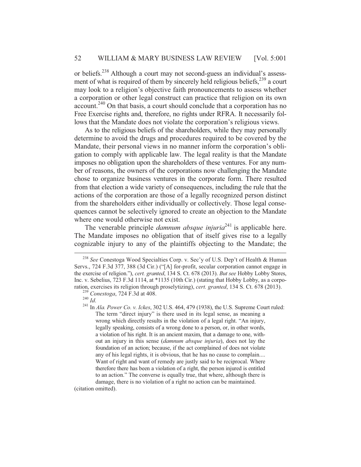or beliefs.238 Although a court may not second-guess an individual's assessment of what is required of them by sincerely held religious beliefs, $2^{39}$  a court may look to a religion's objective faith pronouncements to assess whether a corporation or other legal construct can practice that religion on its own account.240 On that basis, a court should conclude that a corporation has no Free Exercise rights and, therefore, no rights under RFRA. It necessarily follows that the Mandate does not violate the corporation's religious views.

As to the religious beliefs of the shareholders, while they may personally determine to avoid the drugs and procedures required to be covered by the Mandate, their personal views in no manner inform the corporation's obligation to comply with applicable law. The legal reality is that the Mandate imposes no obligation upon the shareholders of these ventures. For any number of reasons, the owners of the corporations now challenging the Mandate chose to organize business ventures in the corporate form. There resulted from that election a wide variety of consequences, including the rule that the actions of the corporation are those of a legally recognized person distinct from the shareholders either individually or collectively. Those legal consequences cannot be selectively ignored to create an objection to the Mandate where one would otherwise not exist.

The venerable principle *damnum absque injuria*<sup>241</sup> is applicable here. The Mandate imposes no obligation that of itself gives rise to a legally cognizable injury to any of the plaintiffs objecting to the Mandate; the

(citation omitted).

 <sup>238</sup> *See* Conestoga Wood Specialties Corp. v. Sec'y of U.S. Dep't of Health & Human Servs., 724 F.3d 377, 388 (3d Cir.) ("[A] for-profit, secular corporation cannot engage in the exercise of religion."), *cert. granted*, 134 S. Ct. 678 (2013). *But see* Hobby Lobby Stores, Inc. v. Sebelius, 723 F.3d 1114, at \*1135 (10th Cir.) (stating that Hobby Lobby, as a corporation, exercises its religion through proselytizing), *cert. granted*, 134 S. Ct. 678 (2013).<br><sup>239</sup> Conestoga, 724 F.3d at 408.<br><sup>240</sup> Id.<br><sup>241</sup> In *Ala. Power Co. v. Ickes*, 302 U.S. 464, 479 (1938), the U.S. Supreme Cou

The term "direct injury" is there used in its legal sense, as meaning a wrong which directly results in the violation of a legal right. "An injury, legally speaking, consists of a wrong done to a person, or, in other words, a violation of his right. It is an ancient maxim, that a damage to one, without an injury in this sense (*damnum absque injuria*), does not lay the foundation of an action; because, if the act complained of does not violate any of his legal rights, it is obvious, that he has no cause to complain.... Want of right and want of remedy are justly said to be reciprocal. Where therefore there has been a violation of a right, the person injured is entitled to an action." The converse is equally true, that where, although there is damage, there is no violation of a right no action can be maintained.